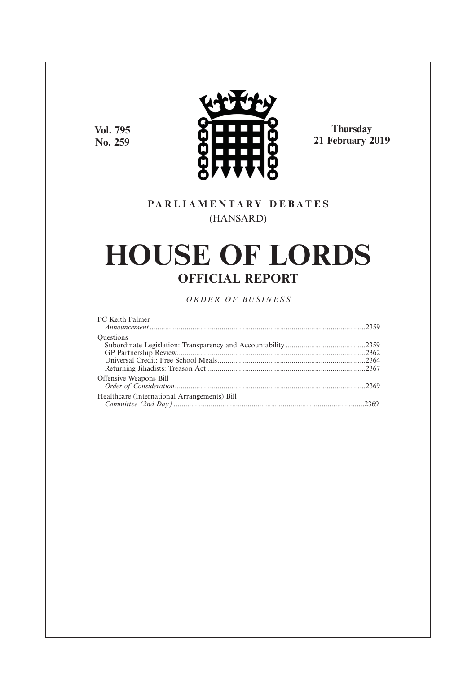**Vol. 795 No. 259**



**Thursday 21 February 2019**

# **P A R L I A M E N T A R Y D E B A T E S** (HANSARD)

# **HOUSE OF LORDS OFFICIAL REPORT**

*O R D E R O F BU S I N E S S*

| <b>PC</b> Keith Palmer                       |  |
|----------------------------------------------|--|
| <b>Ouestions</b>                             |  |
|                                              |  |
|                                              |  |
|                                              |  |
|                                              |  |
| <b>Offensive Weapons Bill</b>                |  |
|                                              |  |
| Healthcare (International Arrangements) Bill |  |
|                                              |  |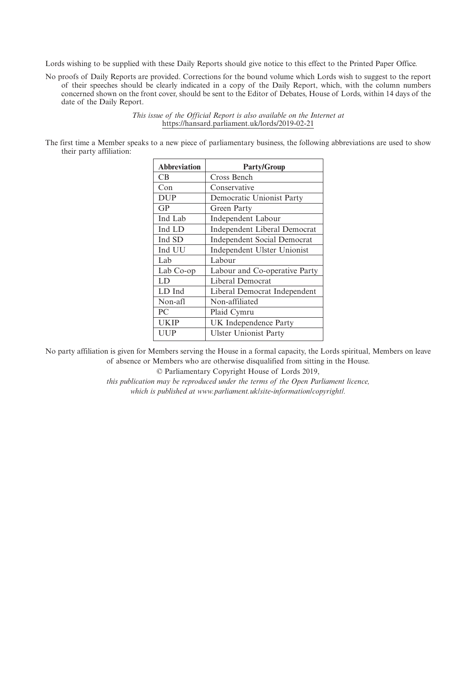Lords wishing to be supplied with these Daily Reports should give notice to this effect to the Printed Paper Office.

No proofs of Daily Reports are provided. Corrections for the bound volume which Lords wish to suggest to the report of their speeches should be clearly indicated in a copy of the Daily Report, which, with the column numbers concerned shown on the front cover, should be sent to the Editor of Debates, House of Lords, within 14 days of the date of the Daily Report.

> *This issue of the Official Report is also available on the Internet at* https://hansard.parliament.uk/lords/2019-02-21

The first time a Member speaks to a new piece of parliamentary business, the following abbreviations are used to show their party affiliation:

| <b>Abbreviation</b> | <b>Party/Group</b>                 |
|---------------------|------------------------------------|
| <b>CB</b>           | Cross Bench                        |
| Con                 | Conservative                       |
| <b>DUP</b>          | Democratic Unionist Party          |
| GP                  | Green Party                        |
| Ind Lab             | <b>Independent Labour</b>          |
| Ind LD              | Independent Liberal Democrat       |
| Ind SD              | <b>Independent Social Democrat</b> |
| Ind UU              | Independent Ulster Unionist        |
| Lab                 | Labour                             |
| Lab Co-op           | Labour and Co-operative Party      |
| LD                  | Liberal Democrat                   |
| LD Ind              | Liberal Democrat Independent       |
| Non-afl             | Non-affiliated                     |
| PC                  | Plaid Cymru                        |
| UKIP                | UK Independence Party              |
| UUP                 | <b>Ulster Unionist Party</b>       |

No party affiliation is given for Members serving the House in a formal capacity, the Lords spiritual, Members on leave of absence or Members who are otherwise disqualified from sitting in the House.

© Parliamentary Copyright House of Lords 2019,

*this publication may be reproduced under the terms of the Open Parliament licence, which is published at www.parliament.uk/site-information/copyright/.*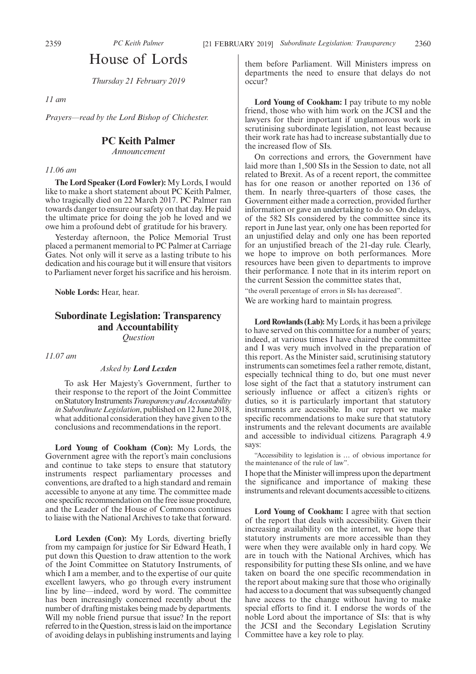# House of Lords

*Thursday 21 February 2019*

*11 am*

*Prayers—read by the Lord Bishop of Chichester.*

# **PC Keith Palmer**

*Announcement*

### *11.06 am*

**The Lord Speaker (Lord Fowler):** My Lords, I would like to make a short statement about PC Keith Palmer, who tragically died on 22 March 2017. PC Palmer ran towards danger to ensure our safety on that day. He paid the ultimate price for doing the job he loved and we owe him a profound debt of gratitude for his bravery.

Yesterday afternoon, the Police Memorial Trust placed a permanent memorial to PC Palmer at Carriage Gates. Not only will it serve as a lasting tribute to his dedication and his courage but it will ensure that visitors to Parliament never forget his sacrifice and his heroism.

**Noble Lords:** Hear, hear.

# **Subordinate Legislation: Transparency and Accountability** *Question*

*11.07 am*

#### *Asked by Lord Lexden*

To ask Her Majesty's Government, further to their response to the report of the Joint Committee onStatutoryInstruments*TransparencyandAccountability in Subordinate Legislation*, published on 12 June 2018, what additional consideration they have given to the conclusions and recommendations in the report.

**Lord Young of Cookham (Con):** My Lords, the Government agree with the report's main conclusions and continue to take steps to ensure that statutory instruments respect parliamentary processes and conventions, are drafted to a high standard and remain accessible to anyone at any time. The committee made one specific recommendation on the free issue procedure, and the Leader of the House of Commons continues to liaise with the National Archives to take that forward.

**Lord Lexden (Con):** My Lords, diverting briefly from my campaign for justice for Sir Edward Heath, I put down this Question to draw attention to the work of the Joint Committee on Statutory Instruments, of which I am a member, and to the expertise of our quite excellent lawyers, who go through every instrument line by line—indeed, word by word. The committee has been increasingly concerned recently about the number of drafting mistakes being made by departments. Will my noble friend pursue that issue? In the report referred to in the Question, stress is laid on the importance of avoiding delays in publishing instruments and laying them before Parliament. Will Ministers impress on departments the need to ensure that delays do not occur?

**Lord Young of Cookham:** I pay tribute to my noble friend, those who with him work on the JCSI and the lawyers for their important if unglamorous work in scrutinising subordinate legislation, not least because their work rate has had to increase substantially due to the increased flow of SIs.

On corrections and errors, the Government have laid more than 1,500 SIs in the Session to date, not all related to Brexit. As of a recent report, the committee has for one reason or another reported on 136 of them. In nearly three-quarters of those cases, the Government either made a correction, provided further information or gave an undertaking to do so. On delays, of the 582 SIs considered by the committee since its report in June last year, only one has been reported for an unjustified delay and only one has been reported for an unjustified breach of the 21-day rule. Clearly, we hope to improve on both performances. More resources have been given to departments to improve their performance. I note that in its interim report on the current Session the committee states that,

"the overall percentage of errors in SIs has decreased".

We are working hard to maintain progress.

**Lord Rowlands (Lab):**My Lords, it has been a privilege to have served on this committee for a number of years; indeed, at various times I have chaired the committee and I was very much involved in the preparation of this report. As the Minister said, scrutinising statutory instruments can sometimes feel a rather remote, distant, especially technical thing to do, but one must never lose sight of the fact that a statutory instrument can seriously influence or affect a citizen's rights or duties, so it is particularly important that statutory instruments are accessible. In our report we make specific recommendations to make sure that statutory instruments and the relevant documents are available and accessible to individual citizens. Paragraph 4.9 says:

"Accessibility to legislation is … of obvious importance for the maintenance of the rule of law".

I hope that the Minister will impress upon the department the significance and importance of making these instruments and relevant documents accessible to citizens.

**Lord Young of Cookham:** I agree with that section of the report that deals with accessibility. Given their increasing availability on the internet, we hope that statutory instruments are more accessible than they were when they were available only in hard copy. We are in touch with the National Archives, which has responsibility for putting these SIs online, and we have taken on board the one specific recommendation in the report about making sure that those who originally had access to a document that was subsequently changed have access to the change without having to make special efforts to find it. I endorse the words of the noble Lord about the importance of SIs: that is why the JCSI and the Secondary Legislation Scrutiny Committee have a key role to play.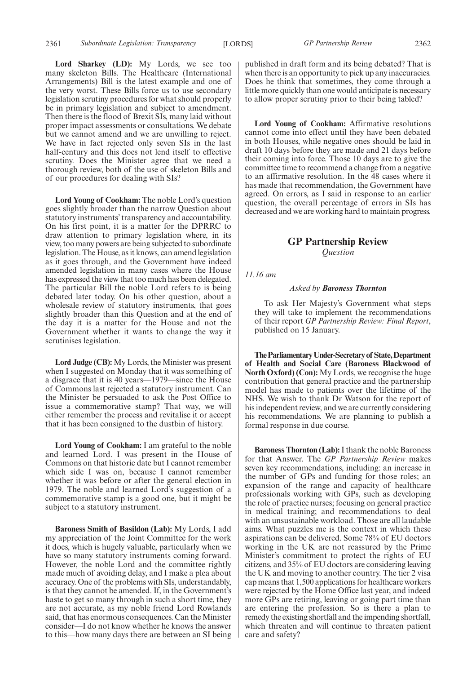**Lord Sharkey (LD):** My Lords, we see too many skeleton Bills. The Healthcare (International Arrangements) Bill is the latest example and one of the very worst. These Bills force us to use secondary legislation scrutiny procedures for what should properly be in primary legislation and subject to amendment. Then there is the flood of Brexit SIs, many laid without proper impact assessments or consultations. We debate but we cannot amend and we are unwilling to reject. We have in fact rejected only seven SIs in the last half-century and this does not lend itself to effective scrutiny. Does the Minister agree that we need a thorough review, both of the use of skeleton Bills and of our procedures for dealing with SIs?

**Lord Young of Cookham:** The noble Lord's question goes slightly broader than the narrow Question about statutory instruments' transparency and accountability. On his first point, it is a matter for the DPRRC to draw attention to primary legislation where, in its view, too many powers are being subjected to subordinate legislation. The House, as it knows, can amend legislation as it goes through, and the Government have indeed amended legislation in many cases where the House has expressed the view that too much has been delegated. The particular Bill the noble Lord refers to is being debated later today. On his other question, about a wholesale review of statutory instruments, that goes slightly broader than this Question and at the end of the day it is a matter for the House and not the Government whether it wants to change the way it scrutinises legislation.

**Lord Judge (CB):** My Lords, the Minister was present when I suggested on Monday that it was something of a disgrace that it is 40 years—1979—since the House of Commons last rejected a statutory instrument. Can the Minister be persuaded to ask the Post Office to issue a commemorative stamp? That way, we will either remember the process and revitalise it or accept that it has been consigned to the dustbin of history.

**Lord Young of Cookham:** I am grateful to the noble and learned Lord. I was present in the House of Commons on that historic date but I cannot remember which side I was on, because I cannot remember whether it was before or after the general election in 1979. The noble and learned Lord's suggestion of a commemorative stamp is a good one, but it might be subject to a statutory instrument.

**Baroness Smith of Basildon (Lab):** My Lords, I add my appreciation of the Joint Committee for the work it does, which is hugely valuable, particularly when we have so many statutory instruments coming forward. However, the noble Lord and the committee rightly made much of avoiding delay, and I make a plea about accuracy. One of the problems with SIs, understandably, is that they cannot be amended. If, in the Government's haste to get so many through in such a short time, they are not accurate, as my noble friend Lord Rowlands said, that has enormous consequences. Can the Minister consider—I do not know whether he knows the answer to this—how many days there are between an SI being published in draft form and its being debated? That is when there is an opportunity to pick up any inaccuracies. Does he think that sometimes, they come through a little more quickly than one would anticipate is necessary to allow proper scrutiny prior to their being tabled?

**Lord Young of Cookham:** Affirmative resolutions cannot come into effect until they have been debated in both Houses, while negative ones should be laid in draft 10 days before they are made and 21 days before their coming into force. Those 10 days are to give the committee time to recommend a change from a negative to an affirmative resolution. In the 48 cases where it has made that recommendation, the Government have agreed. On errors, as I said in response to an earlier question, the overall percentage of errors in SIs has decreased and we are working hard to maintain progress.

# **GP Partnership Review**

*Question*

*11.16 am*

#### *Asked by Baroness Thornton*

To ask Her Majesty's Government what steps they will take to implement the recommendations of their report *GP Partnership Review: Final Report*, published on 15 January.

**TheParliamentaryUnder-Secretaryof State,Department of Health and Social Care (Baroness Blackwood of North Oxford) (Con):** My Lords, we recognise the huge contribution that general practice and the partnership model has made to patients over the lifetime of the NHS. We wish to thank Dr Watson for the report of his independent review, and we are currently considering his recommendations. We are planning to publish a formal response in due course.

**Baroness Thornton (Lab):**I thank the noble Baroness for that Answer. The *GP Partnership Review* makes seven key recommendations, including: an increase in the number of GPs and funding for those roles; an expansion of the range and capacity of healthcare professionals working with GPs, such as developing the role of practice nurses; focusing on general practice in medical training; and recommendations to deal with an unsustainable workload. Those are all laudable aims. What puzzles me is the context in which these aspirations can be delivered. Some 78% of EU doctors working in the UK are not reassured by the Prime Minister's commitment to protect the rights of EU citizens, and 35% of EU doctors are considering leaving the UK and moving to another country. The tier 2 visa cap means that 1,500 applications for healthcare workers were rejected by the Home Office last year, and indeed more GPs are retiring, leaving or going part time than are entering the profession. So is there a plan to remedy the existing shortfall and the impending shortfall, which threaten and will continue to threaten patient care and safety?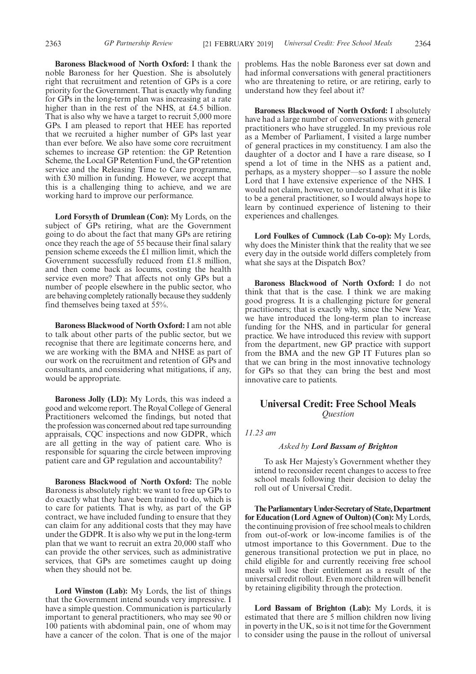**Baroness Blackwood of North Oxford:** I thank the noble Baroness for her Question. She is absolutely right that recruitment and retention of GPs is a core priority for the Government. That is exactly why funding for GPs in the long-term plan was increasing at a rate higher than in the rest of the NHS, at £4.5 billion. That is also why we have a target to recruit 5,000 more GPs. I am pleased to report that HEE has reported that we recruited a higher number of GPs last year than ever before. We also have some core recruitment schemes to increase GP retention: the GP Retention Scheme, the Local GP Retention Fund, the GP retention service and the Releasing Time to Care programme, with £30 million in funding. However, we accept that this is a challenging thing to achieve, and we are working hard to improve our performance.

**Lord Forsyth of Drumlean (Con):** My Lords, on the subject of GPs retiring, what are the Government going to do about the fact that many GPs are retiring once they reach the age of 55 because their final salary pension scheme exceeds the £1 million limit, which the Government successfully reduced from £1.8 million, and then come back as locums, costing the health service even more? That affects not only GPs but a number of people elsewhere in the public sector, who are behaving completely rationally because they suddenly find themselves being taxed at 55%.

**Baroness Blackwood of North Oxford:** I am not able to talk about other parts of the public sector, but we recognise that there are legitimate concerns here, and we are working with the BMA and NHSE as part of our work on the recruitment and retention of GPs and consultants, and considering what mitigations, if any, would be appropriate.

**Baroness Jolly (LD):** My Lords, this was indeed a good and welcome report. The Royal College of General Practitioners welcomed the findings, but noted that the profession was concerned about red tape surrounding appraisals, CQC inspections and now GDPR, which are all getting in the way of patient care. Who is responsible for squaring the circle between improving patient care and GP regulation and accountability?

**Baroness Blackwood of North Oxford:** The noble Baroness is absolutely right: we want to free up GPs to do exactly what they have been trained to do, which is to care for patients. That is why, as part of the GP contract, we have included funding to ensure that they can claim for any additional costs that they may have under the GDPR. It is also why we put in the long-term plan that we want to recruit an extra 20,000 staff who can provide the other services, such as administrative services, that GPs are sometimes caught up doing when they should not be.

**Lord Winston (Lab):** My Lords, the list of things that the Government intend sounds very impressive. I have a simple question. Communication is particularly important to general practitioners, who may see 90 or 100 patients with abdominal pain, one of whom may have a cancer of the colon. That is one of the major problems. Has the noble Baroness ever sat down and had informal conversations with general practitioners who are threatening to retire, or are retiring, early to understand how they feel about it?

**Baroness Blackwood of North Oxford:** I absolutely have had a large number of conversations with general practitioners who have struggled. In my previous role as a Member of Parliament, I visited a large number of general practices in my constituency. I am also the daughter of a doctor and I have a rare disease, so I spend a lot of time in the NHS as a patient and, perhaps, as a mystery shopper—so I assure the noble Lord that I have extensive experience of the NHS. I would not claim, however, to understand what it is like to be a general practitioner, so I would always hope to learn by continued experience of listening to their experiences and challenges.

**Lord Foulkes of Cumnock (Lab Co-op):** My Lords, why does the Minister think that the reality that we see every day in the outside world differs completely from what she says at the Dispatch Box?

**Baroness Blackwood of North Oxford:** I do not think that that is the case. I think we are making good progress. It is a challenging picture for general practitioners; that is exactly why, since the New Year, we have introduced the long-term plan to increase funding for the NHS, and in particular for general practice. We have introduced this review with support from the department, new GP practice with support from the BMA and the new GP IT Futures plan so that we can bring in the most innovative technology for GPs so that they can bring the best and most innovative care to patients.

# **Universal Credit: Free School Meals** *Question*

*11.23 am*

### *Asked by Lord Bassam of Brighton*

To ask Her Majesty's Government whether they intend to reconsider recent changes to access to free school meals following their decision to delay the roll out of Universal Credit.

**TheParliamentaryUnder-Secretaryof State,Department for Education (Lord Agnew of Oulton) (Con):** My Lords, the continuing provision of free school meals to children from out-of-work or low-income families is of the utmost importance to this Government. Due to the generous transitional protection we put in place, no child eligible for and currently receiving free school meals will lose their entitlement as a result of the universal credit rollout. Even more children will benefit by retaining eligibility through the protection.

**Lord Bassam of Brighton (Lab):** My Lords, it is estimated that there are 5 million children now living in poverty in the UK, so is it not time for the Government to consider using the pause in the rollout of universal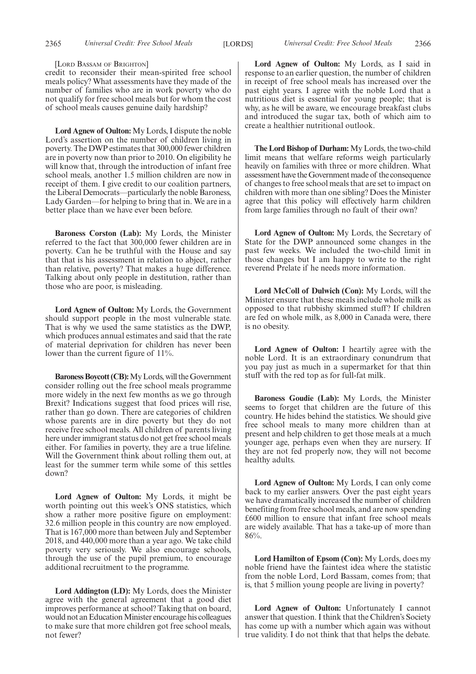[LORD BASSAM OF BRIGHTON]

credit to reconsider their mean-spirited free school meals policy? What assessments have they made of the number of families who are in work poverty who do not qualify for free school meals but for whom the cost of school meals causes genuine daily hardship?

**Lord Agnew of Oulton:** My Lords, I dispute the noble Lord's assertion on the number of children living in poverty. The DWP estimates that 300,000 fewer children are in poverty now than prior to 2010. On eligibility he will know that, through the introduction of infant free school meals, another 1.5 million children are now in receipt of them. I give credit to our coalition partners, the Liberal Democrats—particularly the noble Baroness, Lady Garden—for helping to bring that in. We are in a better place than we have ever been before.

**Baroness Corston (Lab):** My Lords, the Minister referred to the fact that 300,000 fewer children are in poverty. Can he be truthful with the House and say that that is his assessment in relation to abject, rather than relative, poverty? That makes a huge difference. Talking about only people in destitution, rather than those who are poor, is misleading.

**Lord Agnew of Oulton:** My Lords, the Government should support people in the most vulnerable state. That is why we used the same statistics as the DWP, which produces annual estimates and said that the rate of material deprivation for children has never been lower than the current figure of 11%.

**Baroness Boycott (CB):**My Lords, will the Government consider rolling out the free school meals programme more widely in the next few months as we go through Brexit? Indications suggest that food prices will rise, rather than go down. There are categories of children whose parents are in dire poverty but they do not receive free school meals. All children of parents living here under immigrant status do not get free school meals either. For families in poverty, they are a true lifeline. Will the Government think about rolling them out, at least for the summer term while some of this settles down?

**Lord Agnew of Oulton:** My Lords, it might be worth pointing out this week's ONS statistics, which show a rather more positive figure on employment: 32.6 million people in this country are now employed. That is 167,000 more than between July and September 2018, and 440,000 more than a year ago. We take child poverty very seriously. We also encourage schools, through the use of the pupil premium, to encourage additional recruitment to the programme.

**Lord Addington (LD):** My Lords, does the Minister agree with the general agreement that a good diet improves performance at school? Taking that on board, would not an Education Minister encourage his colleagues to make sure that more children got free school meals, not fewer?

**Lord Agnew of Oulton:** My Lords, as I said in response to an earlier question, the number of children in receipt of free school meals has increased over the past eight years. I agree with the noble Lord that a nutritious diet is essential for young people; that is why, as he will be aware, we encourage breakfast clubs and introduced the sugar tax, both of which aim to create a healthier nutritional outlook.

**The Lord Bishop of Durham:** My Lords, the two-child limit means that welfare reforms weigh particularly heavily on families with three or more children. What assessment have the Government made of the consequence of changes to free school meals that are set to impact on children with more than one sibling? Does the Minister agree that this policy will effectively harm children from large families through no fault of their own?

**Lord Agnew of Oulton:** My Lords, the Secretary of State for the DWP announced some changes in the past few weeks. We included the two-child limit in those changes but I am happy to write to the right reverend Prelate if he needs more information.

**Lord McColl of Dulwich (Con):** My Lords, will the Minister ensure that these meals include whole milk as opposed to that rubbishy skimmed stuff? If children are fed on whole milk, as 8,000 in Canada were, there is no obesity.

**Lord Agnew of Oulton:** I heartily agree with the noble Lord. It is an extraordinary conundrum that you pay just as much in a supermarket for that thin stuff with the red top as for full-fat milk.

**Baroness Goudie (Lab):** My Lords, the Minister seems to forget that children are the future of this country. He hides behind the statistics. We should give free school meals to many more children than at present and help children to get those meals at a much younger age, perhaps even when they are nursery. If they are not fed properly now, they will not become healthy adults.

**Lord Agnew of Oulton:** My Lords, I can only come back to my earlier answers. Over the past eight years we have dramatically increased the number of children benefiting from free school meals, and are now spending £600 million to ensure that infant free school meals are widely available. That has a take-up of more than 86%.

**Lord Hamilton of Epsom (Con):** My Lords, does my noble friend have the faintest idea where the statistic from the noble Lord, Lord Bassam, comes from; that is, that 5 million young people are living in poverty?

**Lord Agnew of Oulton:** Unfortunately I cannot answer that question. I think that the Children's Society has come up with a number which again was without true validity. I do not think that that helps the debate.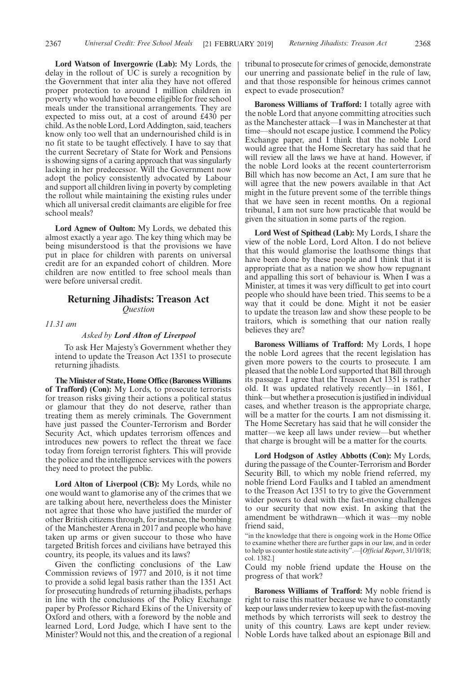**Lord Watson of Invergowrie (Lab):** My Lords, the delay in the rollout of UC is surely a recognition by the Government that inter alia they have not offered proper protection to around 1 million children in poverty who would have become eligible for free school meals under the transitional arrangements. They are expected to miss out, at a cost of around £430 per child. As the noble Lord, Lord Addington, said, teachers know only too well that an undernourished child is in no fit state to be taught effectively. I have to say that the current Secretary of State for Work and Pensions is showing signs of a caring approach that was singularly lacking in her predecessor. Will the Government now adopt the policy consistently advocated by Labour and support all children living in poverty by completing the rollout while maintaining the existing rules under which all universal credit claimants are eligible for free school meals?

**Lord Agnew of Oulton:** My Lords, we debated this almost exactly a year ago. The key thing which may be being misunderstood is that the provisions we have put in place for children with parents on universal credit are for an expanded cohort of children. More children are now entitled to free school meals than were before universal credit.

# **Returning Jihadists: Treason Act** *Question*

*11.31 am*

#### *Asked by Lord Alton of Liverpool*

To ask Her Majesty's Government whether they intend to update the Treason Act 1351 to prosecute returning jihadists.

**The Minister of State, Home Office (Baroness Williams of Trafford) (Con):** My Lords, to prosecute terrorists for treason risks giving their actions a political status or glamour that they do not deserve, rather than treating them as merely criminals. The Government have just passed the Counter-Terrorism and Border Security Act, which updates terrorism offences and introduces new powers to reflect the threat we face today from foreign terrorist fighters. This will provide the police and the intelligence services with the powers they need to protect the public.

**Lord Alton of Liverpool (CB):** My Lords, while no one would want to glamorise any of the crimes that we are talking about here, nevertheless does the Minister not agree that those who have justified the murder of other British citizens through, for instance, the bombing of the Manchester Arena in 2017 and people who have taken up arms or given succour to those who have targeted British forces and civilians have betrayed this country, its people, its values and its laws?

Given the conflicting conclusions of the Law Commission reviews of 1977 and 2010, is it not time to provide a solid legal basis rather than the 1351 Act for prosecuting hundreds of returning jihadists, perhaps in line with the conclusions of the Policy Exchange paper by Professor Richard Ekins of the University of Oxford and others, with a foreword by the noble and learned Lord, Lord Judge, which I have sent to the Minister? Would not this, and the creation of a regional tribunal to prosecute for crimes of genocide, demonstrate our unerring and passionate belief in the rule of law, and that those responsible for heinous crimes cannot expect to evade prosecution?

**Baroness Williams of Trafford:** I totally agree with the noble Lord that anyone committing atrocities such as the Manchester attack—I was in Manchester at that time—should not escape justice. I commend the Policy Exchange paper, and I think that the noble Lord would agree that the Home Secretary has said that he will review all the laws we have at hand. However, if the noble Lord looks at the recent counterterrorism Bill which has now become an Act, I am sure that he will agree that the new powers available in that Act might in the future prevent some of the terrible things that we have seen in recent months. On a regional tribunal, I am not sure how practicable that would be given the situation in some parts of the region.

**Lord West of Spithead (Lab):** My Lords, I share the view of the noble Lord, Lord Alton. I do not believe that this would glamorise the loathsome things that have been done by these people and I think that it is appropriate that as a nation we show how repugnant and appalling this sort of behaviour is. When I was a Minister, at times it was very difficult to get into court people who should have been tried. This seems to be a way that it could be done. Might it not be easier to update the treason law and show these people to be traitors, which is something that our nation really believes they are?

**Baroness Williams of Trafford:** My Lords, I hope the noble Lord agrees that the recent legislation has given more powers to the courts to prosecute. I am pleased that the noble Lord supported that Bill through its passage. I agree that the Treason Act 1351 is rather old. It was updated relatively recently—in 1861, I think—but whether a prosecution is justified in individual cases, and whether treason is the appropriate charge, will be a matter for the courts. I am not dismissing it. The Home Secretary has said that he will consider the matter—we keep all laws under review—but whether that charge is brought will be a matter for the courts.

**Lord Hodgson of Astley Abbotts (Con):** My Lords, during the passage of the Counter-Terrorism and Border Security Bill, to which my noble friend referred, my noble friend Lord Faulks and I tabled an amendment to the Treason Act 1351 to try to give the Government wider powers to deal with the fast-moving challenges to our security that now exist. In asking that the amendment be withdrawn—which it was—my noble friend said,

"in the knowledge that there is ongoing work in the Home Office to examine whether there are further gaps in our law, and in order to help us counter hostile state activity".—[*Official Report*, 31/10/18; col. 1382.]

Could my noble friend update the House on the progress of that work?

**Baroness Williams of Trafford:** My noble friend is right to raise this matter because we have to constantly keep our laws under review to keep up with the fast-moving methods by which terrorists will seek to destroy the unity of this country. Laws are kept under review. Noble Lords have talked about an espionage Bill and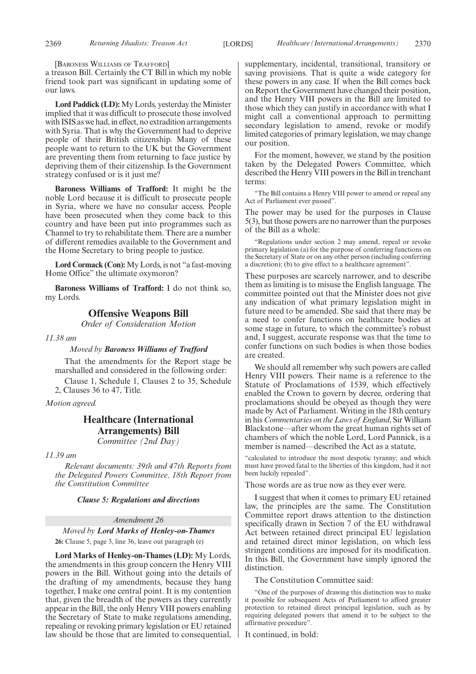[BARONESS WILLIAMS OF TRAFFORD]

a treason Bill. Certainly the CT Bill in which my noble friend took part was significant in updating some of our laws.

**Lord Paddick (LD):** My Lords, yesterday the Minister implied that it was difficult to prosecute those involved with ISIS as we had, in effect, no extradition arrangements with Syria. That is why the Government had to deprive people of their British citizenship. Many of these people want to return to the UK but the Government are preventing them from returning to face justice by depriving them of their citizenship. Is the Government strategy confused or is it just me?

**Baroness Williams of Trafford:** It might be the noble Lord because it is difficult to prosecute people in Syria, where we have no consular access. People have been prosecuted when they come back to this country and have been put into programmes such as Channel to try to rehabilitate them. There are a number of different remedies available to the Government and the Home Secretary to bring people to justice.

**Lord Cormack (Con):**My Lords, is not "a fast-moving Home Office" the ultimate oxymoron?

**Baroness Williams of Trafford:** I do not think so, my Lords.

### **Offensive Weapons Bill**

*Order of Consideration Motion*

*11.38 am*

*Moved by Baroness Williams of Trafford*

That the amendments for the Report stage be marshalled and considered in the following order:

Clause 1, Schedule 1, Clauses 2 to 35, Schedule 2, Clauses 36 to 47, Title.

*Motion agreed.*

# **Healthcare (International Arrangements) Bill**

*Committee (2nd Day)*

#### *11.39 am*

*Relevant documents: 39th and 47th Reports from the Delegated Powers Committee, 18th Report from the Constitution Committee*

#### *Clause 5: Regulations and directions*

*Amendment 26 Moved by Lord Marks of Henley-on-Thames* **26:** Clause 5, page 3, line 36, leave out paragraph (e)

**Lord Marks of Henley-on-Thames (LD):** My Lords, the amendments in this group concern the Henry VIII powers in the Bill. Without going into the details of the drafting of my amendments, because they hang together, I make one central point. It is my contention that, given the breadth of the powers as they currently appear in the Bill, the only Henry VIII powers enabling the Secretary of State to make regulations amending, repealing or revoking primary legislation or EU retained law should be those that are limited to consequential, supplementary, incidental, transitional, transitory or saving provisions. That is quite a wide category for these powers in any case. If when the Bill comes back on Report the Government have changed their position, and the Henry VIII powers in the Bill are limited to those which they can justify in accordance with what I might call a conventional approach to permitting secondary legislation to amend, revoke or modify limited categories of primary legislation, we may change our position.

For the moment, however, we stand by the position taken by the Delegated Powers Committee, which described the Henry VIII powers in the Bill in trenchant terms:

"The Bill contains a Henry VIII power to amend or repeal any Act of Parliament ever passed".

The power may be used for the purposes in Clause 5(3), but those powers are no narrower than the purposes of the Bill as a whole:

"Regulations under section 2 may amend, repeal or revoke primary legislation (a) for the purpose of conferring functions on the Secretary of State or on any other person (including conferring a discretion); (b) to give effect to a healthcare agreement".

These purposes are scarcely narrower, and to describe them as limiting is to misuse the English language. The committee pointed out that the Minister does not give any indication of what primary legislation might in future need to be amended. She said that there may be a need to confer functions on healthcare bodies at some stage in future, to which the committee's robust and, I suggest, accurate response was that the time to confer functions on such bodies is when those bodies are created.

We should all remember why such powers are called Henry VIII powers. Their name is a reference to the Statute of Proclamations of 1539, which effectively enabled the Crown to govern by decree, ordering that proclamations should be obeyed as though they were made by Act of Parliament. Writing in the 18th century in his *Commentaries on the Laws of England*, Sir William Blackstone—after whom the great human rights set of chambers of which the noble Lord, Lord Pannick, is a member is named—described the Act as a statute,

"calculated to introduce the most despotic tyranny; and which must have proved fatal to the liberties of this kingdom, had it not been luckily repealed".

Those words are as true now as they ever were.

I suggest that when it comes to primary EU retained law, the principles are the same. The Constitution Committee report draws attention to the distinction specifically drawn in Section 7 of the EU withdrawal Act between retained direct principal EU legislation and retained direct minor legislation, on which less stringent conditions are imposed for its modification. In this Bill, the Government have simply ignored the distinction.

The Constitution Committee said:

"One of the purposes of drawing this distinction was to make it possible for subsequent Acts of Parliament to afford greater protection to retained direct principal legislation, such as by requiring delegated powers that amend it to be subject to the affirmative procedure".

It continued, in bold: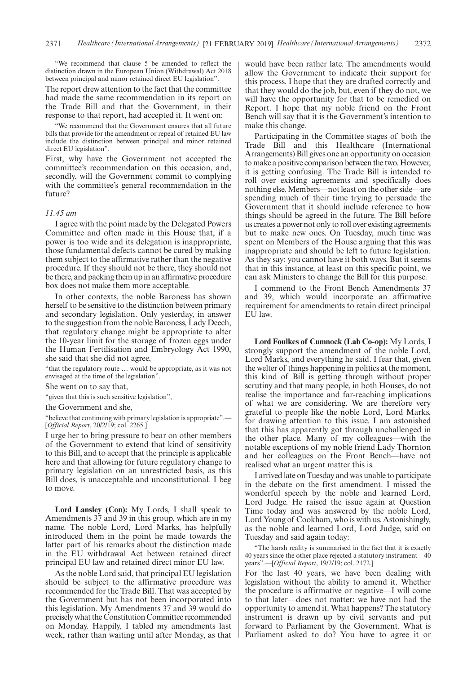"We recommend that clause 5 be amended to reflect the distinction drawn in the European Union (Withdrawal) Act 2018 between principal and minor retained direct EU legislation".

The report drew attention to the fact that the committee had made the same recommendation in its report on the Trade Bill and that the Government, in their response to that report, had accepted it. It went on:

"We recommend that the Government ensures that all future bills that provide for the amendment or repeal of retained EU law include the distinction between principal and minor retained direct EU legislation".

First, why have the Government not accepted the committee's recommendation on this occasion, and, secondly, will the Government commit to complying with the committee's general recommendation in the future?

#### *11.45 am*

I agree with the point made by the Delegated Powers Committee and often made in this House that, if a power is too wide and its delegation is inappropriate, those fundamental defects cannot be cured by making them subject to the affirmative rather than the negative procedure. If they should not be there, they should not be there, and packing them up in an affirmative procedure box does not make them more acceptable.

In other contexts, the noble Baroness has shown herself to be sensitive to the distinction between primary and secondary legislation. Only yesterday, in answer to the suggestion from the noble Baroness, Lady Deech, that regulatory change might be appropriate to alter the 10-year limit for the storage of frozen eggs under the Human Fertilisation and Embryology Act 1990, she said that she did not agree,

"that the regulatory route … would be appropriate, as it was not envisaged at the time of the legislation".

She went on to say that,

"given that this is such sensitive legislation",

the Government and she,

"believe that continuing with primary legislation is appropriate".— [*Official Report*, 20/2/19; col. 2265.]

I urge her to bring pressure to bear on other members of the Government to extend that kind of sensitivity to this Bill, and to accept that the principle is applicable here and that allowing for future regulatory change to primary legislation on an unrestricted basis, as this Bill does, is unacceptable and unconstitutional. I beg to move.

**Lord Lansley (Con):** My Lords, I shall speak to Amendments 37 and 39 in this group, which are in my name. The noble Lord, Lord Marks, has helpfully introduced them in the point he made towards the latter part of his remarks about the distinction made in the EU withdrawal Act between retained direct principal EU law and retained direct minor EU law.

As the noble Lord said, that principal EU legislation should be subject to the affirmative procedure was recommended for the Trade Bill. That was accepted by the Government but has not been incorporated into this legislation. My Amendments 37 and 39 would do precisely what the Constitution Committee recommended on Monday. Happily, I tabled my amendments last week, rather than waiting until after Monday, as that would have been rather late. The amendments would allow the Government to indicate their support for this process. I hope that they are drafted correctly and that they would do the job, but, even if they do not, we will have the opportunity for that to be remedied on Report. I hope that my noble friend on the Front Bench will say that it is the Government's intention to make this change.

Participating in the Committee stages of both the Trade Bill and this Healthcare (International Arrangements) Bill gives one an opportunity on occasion to make a positive comparison between the two. However, it is getting confusing. The Trade Bill is intended to roll over existing agreements and specifically does nothing else. Members—not least on the other side—are spending much of their time trying to persuade the Government that it should include reference to how things should be agreed in the future. The Bill before us creates a power not only to roll over existing agreements but to make new ones. On Tuesday, much time was spent on Members of the House arguing that this was inappropriate and should be left to future legislation. As they say: you cannot have it both ways. But it seems that in this instance, at least on this specific point, we can ask Ministers to change the Bill for this purpose.

I commend to the Front Bench Amendments 37 and 39, which would incorporate an affirmative requirement for amendments to retain direct principal  $E11$  law

**Lord Foulkes of Cumnock (Lab Co-op):** My Lords, I strongly support the amendment of the noble Lord, Lord Marks, and everything he said. I fear that, given the welter of things happening in politics at the moment, this kind of Bill is getting through without proper scrutiny and that many people, in both Houses, do not realise the importance and far-reaching implications of what we are considering. We are therefore very grateful to people like the noble Lord, Lord Marks, for drawing attention to this issue. I am astonished that this has apparently got through unchallenged in the other place. Many of my colleagues—with the notable exceptions of my noble friend Lady Thornton and her colleagues on the Front Bench—have not realised what an urgent matter this is.

I arrived late on Tuesday and was unable to participate in the debate on the first amendment. I missed the wonderful speech by the noble and learned Lord, Lord Judge. He raised the issue again at Question Time today and was answered by the noble Lord, Lord Young of Cookham, who is with us. Astonishingly, as the noble and learned Lord, Lord Judge, said on Tuesday and said again today:

"The harsh reality is summarised in the fact that it is exactly 40 years since the other place rejected a statutory instrument—40 years".—[*Official Report*, 19/2/19; col. 2172.]

For the last 40 years, we have been dealing with legislation without the ability to amend it. Whether the procedure is affirmative or negative—I will come to that later—does not matter: we have not had the opportunity to amend it. What happens? The statutory instrument is drawn up by civil servants and put forward to Parliament by the Government. What is Parliament asked to do? You have to agree it or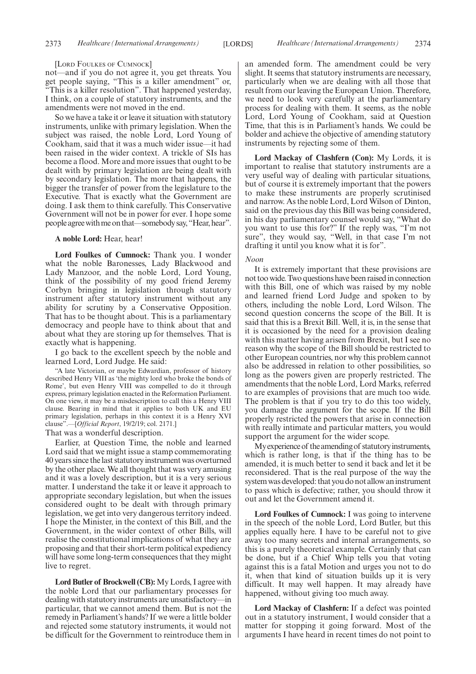#### [LORD FOULKES OF CUMNOCK]

not—and if you do not agree it, you get threats. You get people saying, "This is a killer amendment" or, "This is a killer resolution". That happened yesterday, I think, on a couple of statutory instruments, and the amendments were not moved in the end.

So we have a take it or leave it situation with statutory instruments, unlike with primary legislation. When the subject was raised, the noble Lord, Lord Young of Cookham, said that it was a much wider issue—it had been raised in the wider context. A trickle of SIs has become a flood. More and more issues that ought to be dealt with by primary legislation are being dealt with by secondary legislation. The more that happens, the bigger the transfer of power from the legislature to the Executive. That is exactly what the Government are doing. I ask them to think carefully. This Conservative Government will not be in power for ever. I hope some people agree with me on that—somebody say, "Hear, hear".

#### **A noble Lord:** Hear, hear!

**Lord Foulkes of Cumnock:** Thank you. I wonder what the noble Baronesses, Lady Blackwood and Lady Manzoor, and the noble Lord, Lord Young, think of the possibility of my good friend Jeremy Corbyn bringing in legislation through statutory instrument after statutory instrument without any ability for scrutiny by a Conservative Opposition. That has to be thought about. This is a parliamentary democracy and people have to think about that and about what they are storing up for themselves. That is exactly what is happening.

I go back to the excellent speech by the noble and learned Lord, Lord Judge. He said:

"A late Victorian, or maybe Edwardian, professor of history described Henry VIII as 'the mighty lord who broke the bonds of Rome', but even Henry VIII was compelled to do it through express, primary legislation enacted in the Reformation Parliament. On one view, it may be a misdescription to call this a Henry VIII clause. Bearing in mind that it applies to both UK and EU primary legislation, perhaps in this context it is a Henry XVI clause".—[*Official Report*, 19/2/19; col. 2171.]

That was a wonderful description.

Earlier, at Question Time, the noble and learned Lord said that we might issue a stamp commemorating 40 years since the last statutory instrument was overturned by the other place. We all thought that was very amusing and it was a lovely description, but it is a very serious matter. I understand the take it or leave it approach to appropriate secondary legislation, but when the issues considered ought to be dealt with through primary legislation, we get into very dangerous territory indeed. I hope the Minister, in the context of this Bill, and the Government, in the wider context of other Bills, will realise the constitutional implications of what they are proposing and that their short-term political expediency will have some long-term consequences that they might live to regret.

**Lord Butler of Brockwell (CB):**My Lords, I agree with the noble Lord that our parliamentary processes for dealing with statutory instruments are unsatisfactory—in particular, that we cannot amend them. But is not the remedy in Parliament's hands? If we were a little bolder and rejected some statutory instruments, it would not be difficult for the Government to reintroduce them in an amended form. The amendment could be very slight. It seems that statutory instruments are necessary, particularly when we are dealing with all those that result from our leaving the European Union. Therefore, we need to look very carefully at the parliamentary process for dealing with them. It seems, as the noble Lord, Lord Young of Cookham, said at Question Time, that this is in Parliament's hands. We could be bolder and achieve the objective of amending statutory instruments by rejecting some of them.

**Lord Mackay of Clashfern (Con):** My Lords, it is important to realise that statutory instruments are a very useful way of dealing with particular situations, but of course it is extremely important that the powers to make these instruments are properly scrutinised and narrow. As the noble Lord, Lord Wilson of Dinton, said on the previous day this Bill was being considered, in his day parliamentary counsel would say, "What do you want to use this for?" If the reply was, "I'm not sure", they would say, "Well, in that case I'm not drafting it until you know what it is for".

#### *Noon*

It is extremely important that these provisions are not too wide. Two questions have been raised in connection with this Bill, one of which was raised by my noble and learned friend Lord Judge and spoken to by others, including the noble Lord, Lord Wilson. The second question concerns the scope of the Bill. It is said that this is a Brexit Bill. Well, it is, in the sense that it is occasioned by the need for a provision dealing with this matter having arisen from Brexit, but I see no reason why the scope of the Bill should be restricted to other European countries, nor why this problem cannot also be addressed in relation to other possibilities, so long as the powers given are properly restricted. The amendments that the noble Lord, Lord Marks, referred to are examples of provisions that are much too wide. The problem is that if you try to do this too widely, you damage the argument for the scope. If the Bill properly restricted the powers that arise in connection with really intimate and particular matters, you would support the argument for the wider scope.

My experience of the amending of statutory instruments, which is rather long, is that if the thing has to be amended, it is much better to send it back and let it be reconsidered. That is the real purpose of the way the system was developed: that you do not allow an instrument to pass which is defective; rather, you should throw it out and let the Government amend it.

**Lord Foulkes of Cumnock:** I was going to intervene in the speech of the noble Lord, Lord Butler, but this applies equally here. I have to be careful not to give away too many secrets and internal arrangements, so this is a purely theoretical example. Certainly that can be done, but if a Chief Whip tells you that voting against this is a fatal Motion and urges you not to do it, when that kind of situation builds up it is very difficult. It may well happen. It may already have happened, without giving too much away.

**Lord Mackay of Clashfern:** If a defect was pointed out in a statutory instrument, I would consider that a matter for stopping it going forward. Most of the arguments I have heard in recent times do not point to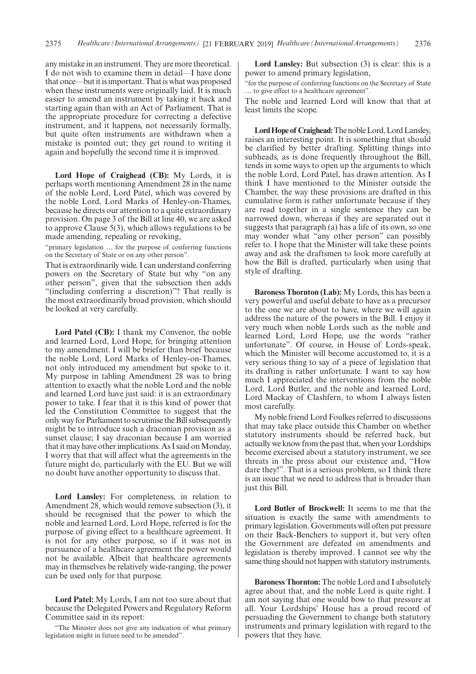any mistake in an instrument. They are more theoretical. I do not wish to examine them in detail—I have done that once—but it is important. That is what was proposed when these instruments were originally laid. It is much easier to amend an instrument by taking it back and starting again than with an Act of Parliament. That is the appropriate procedure for correcting a defective instrument, and it happens, not necessarily formally, but quite often instruments are withdrawn when a mistake is pointed out; they get round to writing it again and hopefully the second time it is improved.

**Lord Hope of Craighead (CB):** My Lords, it is perhaps worth mentioning Amendment 28 in the name of the noble Lord, Lord Patel, which was covered by the noble Lord, Lord Marks of Henley-on-Thames, because he directs our attention to a quite extraordinary provision. On page 3 of the Bill at line 40, we are asked to approve Clause 5(3), which allows regulations to be made amending, repealing or revoking,

"primary legislation … for the purpose of conferring functions on the Secretary of State or on any other person".

That is extraordinarily wide. I can understand conferring powers on the Secretary of State but why "on any other person", given that the subsection then adds "(including conferring a discretion)"? That really is the most extraordinarily broad provision, which should be looked at very carefully.

**Lord Patel (CB):** I thank my Convenor, the noble and learned Lord, Lord Hope, for bringing attention to my amendment. I will be briefer than brief because the noble Lord, Lord Marks of Henley-on-Thames, not only introduced my amendment but spoke to it. My purpose in tabling Amendment 28 was to bring attention to exactly what the noble Lord and the noble and learned Lord have just said: it is an extraordinary power to take. I fear that it is this kind of power that led the Constitution Committee to suggest that the only way for Parliament to scrutinise the Bill subsequently might be to introduce such a draconian provision as a sunset clause; I say draconian because I am worried that it may have other implications. As I said on Monday, I worry that that will affect what the agreements in the future might do, particularly with the EU. But we will no doubt have another opportunity to discuss that.

**Lord Lansley:** For completeness, in relation to Amendment 28, which would remove subsection (3), it should be recognised that the power to which the noble and learned Lord, Lord Hope, referred is for the purpose of giving effect to a healthcare agreement. It is not for any other purpose, so if it was not in pursuance of a healthcare agreement the power would not be available. Albeit that healthcare agreements may in themselves be relatively wide-ranging, the power can be used only for that purpose.

**Lord Patel:** My Lords, I am not too sure about that because the Delegated Powers and Regulatory Reform Committee said in its report:

"The Minister does not give any indication of what primary legislation might in future need to be amended".

**Lord Lansley:** But subsection (3) is clear: this is a power to amend primary legislation,

"for the purpose of conferring functions on the Secretary of State … to give effect to a healthcare agreement".

The noble and learned Lord will know that that at least limits the scope.

Lord Hope of Craighead: The noble Lord, Lord Lansley, raises an interesting point. It is something that should be clarified by better drafting. Splitting things into subheads, as is done frequently throughout the Bill, tends in some ways to open up the arguments to which the noble Lord, Lord Patel, has drawn attention. As I think I have mentioned to the Minister outside the Chamber, the way these provisions are drafted in this cumulative form is rather unfortunate because if they are read together in a single sentence they can be narrowed down, whereas if they are separated out it suggests that paragraph (a) has a life of its own, so one may wonder what "any other person" can possibly refer to. I hope that the Minister will take these points away and ask the draftsmen to look more carefully at how the Bill is drafted, particularly when using that style of drafting.

**Baroness Thornton (Lab):** My Lords, this has been a very powerful and useful debate to have as a precursor to the one we are about to have, where we will again address the nature of the powers in the Bill. I enjoy it very much when noble Lords such as the noble and learned Lord, Lord Hope, use the words "rather unfortunate". Of course, in House of Lords-speak, which the Minister will become accustomed to, it is a very serious thing to say of a piece of legislation that its drafting is rather unfortunate. I want to say how much I appreciated the interventions from the noble Lord, Lord Butler, and the noble and learned Lord, Lord Mackay of Clashfern, to whom I always listen most carefully.

My noble friend Lord Foulkes referred to discussions that may take place outside this Chamber on whether statutory instruments should be referred back, but actually we know from the past that, when your Lordships become exercised about a statutory instrument, we see threats in the press about our existence and, "How dare they!". That is a serious problem, so I think there is an issue that we need to address that is broader than just this Bill.

**Lord Butler of Brockwell:** It seems to me that the situation is exactly the same with amendments to primary legislation. Governments will often put pressure on their Back-Benchers to support it, but very often the Government are defeated on amendments and legislation is thereby improved. I cannot see why the same thing should not happen with statutory instruments.

**Baroness Thornton:** The noble Lord and I absolutely agree about that, and the noble Lord is quite right. I am not saying that one would bow to that pressure at all. Your Lordships' House has a proud record of persuading the Government to change both statutory instruments and primary legislation with regard to the powers that they have.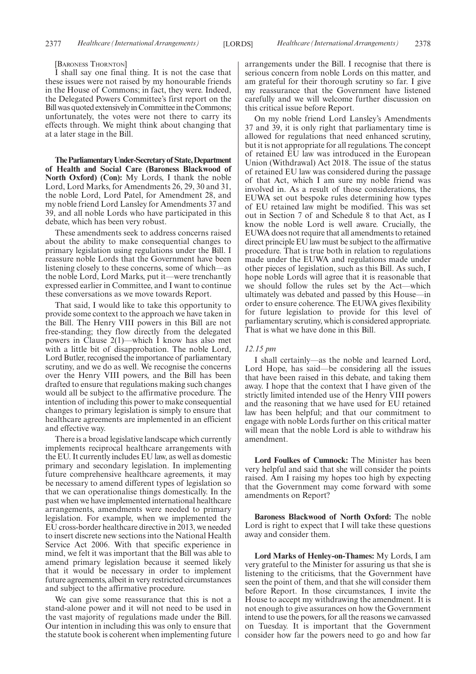#### [BARONESS THORNTON]

I shall say one final thing. It is not the case that these issues were not raised by my honourable friends in the House of Commons; in fact, they were. Indeed, the Delegated Powers Committee's first report on the Bill was quoted extensively in Committee in the Commons; unfortunately, the votes were not there to carry its effects through. We might think about changing that at a later stage in the Bill.

**TheParliamentaryUnder-Secretaryof State,Department of Health and Social Care (Baroness Blackwood of North Oxford) (Con):** My Lords, I thank the noble Lord, Lord Marks, for Amendments 26, 29, 30 and 31, the noble Lord, Lord Patel, for Amendment 28, and my noble friend Lord Lansley for Amendments 37 and 39, and all noble Lords who have participated in this debate, which has been very robust.

These amendments seek to address concerns raised about the ability to make consequential changes to primary legislation using regulations under the Bill. I reassure noble Lords that the Government have been listening closely to these concerns, some of which—as the noble Lord, Lord Marks, put it—were trenchantly expressed earlier in Committee, and I want to continue these conversations as we move towards Report.

That said, I would like to take this opportunity to provide some context to the approach we have taken in the Bill. The Henry VIII powers in this Bill are not free-standing; they flow directly from the delegated powers in Clause 2(1)—which I know has also met with a little bit of disapprobation. The noble Lord, Lord Butler, recognised the importance of parliamentary scrutiny, and we do as well. We recognise the concerns over the Henry VIII powers, and the Bill has been drafted to ensure that regulations making such changes would all be subject to the affirmative procedure. The intention of including this power to make consequential changes to primary legislation is simply to ensure that healthcare agreements are implemented in an efficient and effective way.

There is a broad legislative landscape which currently implements reciprocal healthcare arrangements with the EU. It currently includes EU law, as well as domestic primary and secondary legislation. In implementing future comprehensive healthcare agreements, it may be necessary to amend different types of legislation so that we can operationalise things domestically. In the past when we have implemented international healthcare arrangements, amendments were needed to primary legislation. For example, when we implemented the EU cross-border healthcare directive in 2013, we needed to insert discrete new sections into the National Health Service Act 2006. With that specific experience in mind, we felt it was important that the Bill was able to amend primary legislation because it seemed likely that it would be necessary in order to implement future agreements, albeit in very restricted circumstances and subject to the affirmative procedure.

We can give some reassurance that this is not a stand-alone power and it will not need to be used in the vast majority of regulations made under the Bill. Our intention in including this was only to ensure that the statute book is coherent when implementing future arrangements under the Bill. I recognise that there is serious concern from noble Lords on this matter, and am grateful for their thorough scrutiny so far. I give my reassurance that the Government have listened carefully and we will welcome further discussion on this critical issue before Report.

On my noble friend Lord Lansley's Amendments 37 and 39, it is only right that parliamentary time is allowed for regulations that need enhanced scrutiny, but it is not appropriate for all regulations. The concept of retained EU law was introduced in the European Union (Withdrawal) Act 2018. The issue of the status of retained EU law was considered during the passage of that Act, which I am sure my noble friend was involved in. As a result of those considerations, the EUWA set out bespoke rules determining how types of EU retained law might be modified. This was set out in Section 7 of and Schedule 8 to that Act, as I know the noble Lord is well aware. Crucially, the EUWA does not require that all amendments to retained direct principle EU law must be subject to the affirmative procedure. That is true both in relation to regulations made under the EUWA and regulations made under other pieces of legislation, such as this Bill. As such, I hope noble Lords will agree that it is reasonable that we should follow the rules set by the Act—which ultimately was debated and passed by this House—in order to ensure coherence. The EUWA gives flexibility for future legislation to provide for this level of parliamentary scrutiny, which is considered appropriate. That is what we have done in this Bill.

#### *12.15 pm*

I shall certainly—as the noble and learned Lord, Lord Hope, has said—be considering all the issues that have been raised in this debate, and taking them away. I hope that the context that I have given of the strictly limited intended use of the Henry VIII powers and the reasoning that we have used for EU retained law has been helpful; and that our commitment to engage with noble Lords further on this critical matter will mean that the noble Lord is able to withdraw his amendment.

**Lord Foulkes of Cumnock:** The Minister has been very helpful and said that she will consider the points raised. Am I raising my hopes too high by expecting that the Government may come forward with some amendments on Report?

**Baroness Blackwood of North Oxford:** The noble Lord is right to expect that I will take these questions away and consider them.

**Lord Marks of Henley-on-Thames:** My Lords, I am very grateful to the Minister for assuring us that she is listening to the criticisms, that the Government have seen the point of them, and that she will consider them before Report. In those circumstances, I invite the House to accept my withdrawing the amendment. It is not enough to give assurances on how the Government intend to use the powers, for all the reasons we canvassed on Tuesday. It is important that the Government consider how far the powers need to go and how far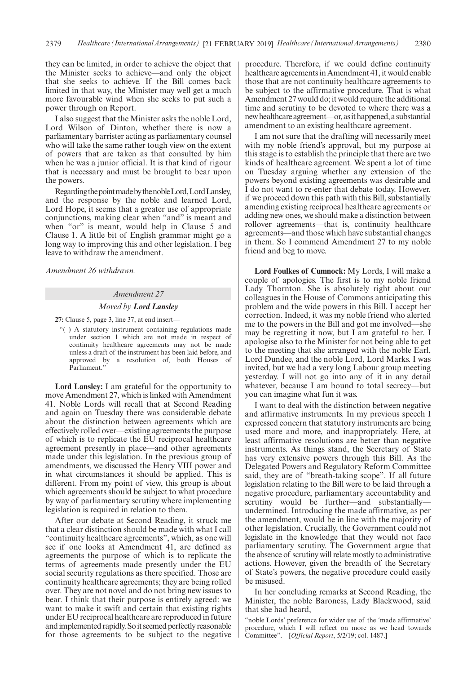they can be limited, in order to achieve the object that the Minister seeks to achieve—and only the object that she seeks to achieve. If the Bill comes back limited in that way, the Minister may well get a much more favourable wind when she seeks to put such a power through on Report.

I also suggest that the Minister asks the noble Lord, Lord Wilson of Dinton, whether there is now a parliamentary barrister acting as parliamentary counsel who will take the same rather tough view on the extent of powers that are taken as that consulted by him when he was a junior official. It is that kind of rigour that is necessary and must be brought to bear upon the powers.

RegardingthepointmadebythenobleLord,LordLansley, and the response by the noble and learned Lord, Lord Hope, it seems that a greater use of appropriate conjunctions, making clear when "and" is meant and when "or" is meant, would help in Clause 5 and Clause 1. A little bit of English grammar might go a long way to improving this and other legislation. I beg leave to withdraw the amendment.

*Amendment 26 withdrawn.*

#### *Amendment 27*

#### *Moved by Lord Lansley*

**27:** Clause 5, page 3, line 37, at end insert—

"( ) A statutory instrument containing regulations made under section 1 which are not made in respect of continuity healthcare agreements may not be made unless a draft of the instrument has been laid before, and approved by a resolution of, both Houses of Parliament.

**Lord Lansley:** I am grateful for the opportunity to move Amendment 27, which is linked with Amendment 41. Noble Lords will recall that at Second Reading and again on Tuesday there was considerable debate about the distinction between agreements which are effectively rolled over—existing agreements the purpose of which is to replicate the EU reciprocal healthcare agreement presently in place—and other agreements made under this legislation. In the previous group of amendments, we discussed the Henry VIII power and in what circumstances it should be applied. This is different. From my point of view, this group is about which agreements should be subject to what procedure by way of parliamentary scrutiny where implementing legislation is required in relation to them.

After our debate at Second Reading, it struck me that a clear distinction should be made with what I call "continuity healthcare agreements", which, as one will see if one looks at Amendment 41, are defined as agreements the purpose of which is to replicate the terms of agreements made presently under the EU social security regulations as there specified. Those are continuity healthcare agreements; they are being rolled over. They are not novel and do not bring new issues to bear. I think that their purpose is entirely agreed: we want to make it swift and certain that existing rights under EU reciprocal healthcare are reproduced in future and implemented rapidly. So it seemed perfectly reasonable for those agreements to be subject to the negative procedure. Therefore, if we could define continuity healthcare agreements in Amendment 41, it would enable those that are not continuity healthcare agreements to be subject to the affirmative procedure. That is what Amendment 27 would do; it would require the additional time and scrutiny to be devoted to where there was a newhealthcareagreement—or,asithappened,asubstantial amendment to an existing healthcare agreement.

I am not sure that the drafting will necessarily meet with my noble friend's approval, but my purpose at this stage is to establish the principle that there are two kinds of healthcare agreement. We spent a lot of time on Tuesday arguing whether any extension of the powers beyond existing agreements was desirable and I do not want to re-enter that debate today. However, if we proceed down this path with this Bill, substantially amending existing reciprocal healthcare agreements or adding new ones, we should make a distinction between rollover agreements—that is, continuity healthcare agreements—and those which have substantial changes in them. So I commend Amendment 27 to my noble friend and beg to move.

**Lord Foulkes of Cumnock:** My Lords, I will make a couple of apologies. The first is to my noble friend Lady Thornton. She is absolutely right about our colleagues in the House of Commons anticipating this problem and the wide powers in this Bill. I accept her correction. Indeed, it was my noble friend who alerted me to the powers in the Bill and got me involved—she may be regretting it now, but I am grateful to her. I apologise also to the Minister for not being able to get to the meeting that she arranged with the noble Earl, Lord Dundee, and the noble Lord, Lord Marks. I was invited, but we had a very long Labour group meeting yesterday. I will not go into any of it in any detail whatever, because I am bound to total secrecy—but you can imagine what fun it was.

I want to deal with the distinction between negative and affirmative instruments. In my previous speech I expressed concern that statutory instruments are being used more and more, and inappropriately. Here, at least affirmative resolutions are better than negative instruments. As things stand, the Secretary of State has very extensive powers through this Bill. As the Delegated Powers and Regulatory Reform Committee said, they are of "breath-taking scope". If all future legislation relating to the Bill were to be laid through a negative procedure, parliamentary accountability and scrutiny would be further—and substantiallyundermined. Introducing the made affirmative, as per the amendment, would be in line with the majority of other legislation. Crucially, the Government could not legislate in the knowledge that they would not face parliamentary scrutiny. The Government argue that the absence of scrutiny will relate mostly to administrative actions. However, given the breadth of the Secretary of State's powers, the negative procedure could easily be misused.

In her concluding remarks at Second Reading, the Minister, the noble Baroness, Lady Blackwood, said that she had heard,

<sup>&</sup>quot;noble Lords' preference for wider use of the 'made affirmative' procedure, which I will reflect on more as we head towards Committee".—[*Official Report*, 5/2/19; col. 1487.]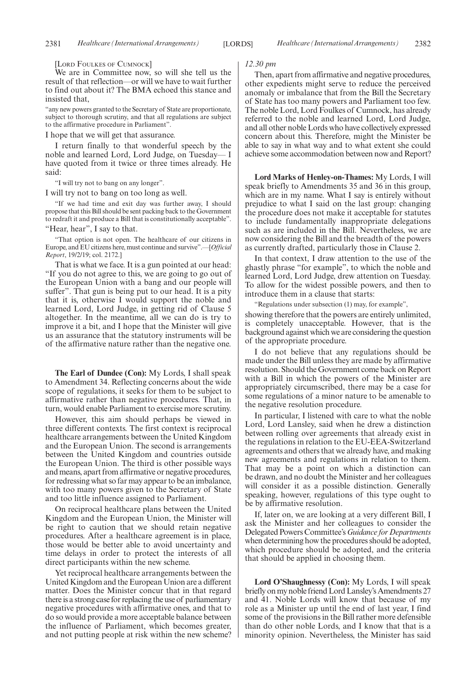[LORD FOULKES OF CUMNOCK]

We are in Committee now, so will she tell us the result of that reflection—or will we have to wait further to find out about it? The BMA echoed this stance and insisted that,

"any new powers granted to the Secretary of State are proportionate, subject to thorough scrutiny, and that all regulations are subject to the affirmative procedure in Parliament".

I hope that we will get that assurance.

I return finally to that wonderful speech by the noble and learned Lord, Lord Judge, on Tuesday— I have quoted from it twice or three times already. He said:

"I will try not to bang on any longer".

I will try not to bang on too long as well.

"If we had time and exit day was further away, I should propose that this Bill should be sent packing back to the Government to redraft it and produce a Bill that is constitutionally acceptable".

"Hear, hear", I say to that.

"That option is not open. The healthcare of our citizens in Europe, and EU citizens here, must continue and survive".—[*Official Report*, 19/2/19; col. 2172.]

That is what we face. It is a gun pointed at our head: "If you do not agree to this, we are going to go out of the European Union with a bang and our people will suffer". That gun is being put to our head. It is a pity that it is, otherwise I would support the noble and learned Lord, Lord Judge, in getting rid of Clause 5 altogether. In the meantime, all we can do is try to improve it a bit, and I hope that the Minister will give us an assurance that the statutory instruments will be of the affirmative nature rather than the negative one.

**The Earl of Dundee (Con):** My Lords, I shall speak to Amendment 34. Reflecting concerns about the wide scope of regulations, it seeks for them to be subject to affirmative rather than negative procedures. That, in turn, would enable Parliament to exercise more scrutiny.

However, this aim should perhaps be viewed in three different contexts. The first context is reciprocal healthcare arrangements between the United Kingdom and the European Union. The second is arrangements between the United Kingdom and countries outside the European Union. The third is other possible ways and means, apart from affirmative or negative procedures, for redressing what so far may appear to be an imbalance, with too many powers given to the Secretary of State and too little influence assigned to Parliament.

On reciprocal healthcare plans between the United Kingdom and the European Union, the Minister will be right to caution that we should retain negative procedures. After a healthcare agreement is in place, those would be better able to avoid uncertainty and time delays in order to protect the interests of all direct participants within the new scheme.

Yet reciprocal healthcare arrangements between the United Kingdom and the European Union are a different matter. Does the Minister concur that in that regard there is a strong case for replacing the use of parliamentary negative procedures with affirmative ones, and that to do so would provide a more acceptable balance between the influence of Parliament, which becomes greater, and not putting people at risk within the new scheme?

#### *12.30 pm*

Then, apart from affirmative and negative procedures, other expedients might serve to reduce the perceived anomaly or imbalance that from the Bill the Secretary of State has too many powers and Parliament too few. The noble Lord, Lord Foulkes of Cumnock, has already referred to the noble and learned Lord, Lord Judge, and all other noble Lords who have collectively expressed concern about this. Therefore, might the Minister be able to say in what way and to what extent she could achieve some accommodation between now and Report?

**Lord Marks of Henley-on-Thames:** My Lords, I will speak briefly to Amendments 35 and 36 in this group, which are in my name. What I say is entirely without prejudice to what I said on the last group: changing the procedure does not make it acceptable for statutes to include fundamentally inappropriate delegations such as are included in the Bill. Nevertheless, we are now considering the Bill and the breadth of the powers as currently drafted, particularly those in Clause 2.

In that context, I draw attention to the use of the ghastly phrase "for example", to which the noble and learned Lord, Lord Judge, drew attention on Tuesday. To allow for the widest possible powers, and then to introduce them in a clause that starts:

"Regulations under subsection (1) may, for example",

showing therefore that the powers are entirely unlimited, is completely unacceptable. However, that is the background against which we are considering the question of the appropriate procedure.

I do not believe that any regulations should be made under the Bill unless they are made by affirmative resolution. Should the Government come back on Report with a Bill in which the powers of the Minister are appropriately circumscribed, there may be a case for some regulations of a minor nature to be amenable to the negative resolution procedure.

In particular, I listened with care to what the noble Lord, Lord Lansley, said when he drew a distinction between rolling over agreements that already exist in the regulations in relation to the EU-EEA-Switzerland agreements and others that we already have, and making new agreements and regulations in relation to them. That may be a point on which a distinction can be drawn, and no doubt the Minister and her colleagues will consider it as a possible distinction. Generally speaking, however, regulations of this type ought to be by affirmative resolution.

If, later on, we are looking at a very different Bill, I ask the Minister and her colleagues to consider the Delegated Powers Committee's *Guidance for Departments* when determining how the procedures should be adopted, which procedure should be adopted, and the criteria that should be applied in choosing them.

**Lord O'Shaughnessy (Con):** My Lords, I will speak briefly on my noble friend Lord Lansley's Amendments 27 and 41. Noble Lords will know that because of my role as a Minister up until the end of last year, I find some of the provisions in the Bill rather more defensible than do other noble Lords, and I know that that is a minority opinion. Nevertheless, the Minister has said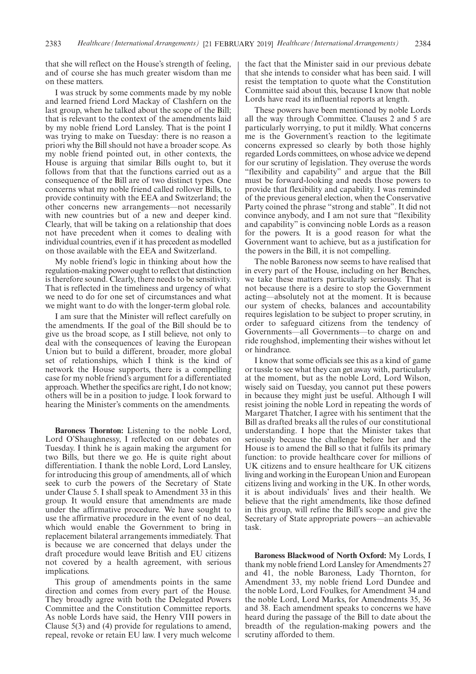that she will reflect on the House's strength of feeling, and of course she has much greater wisdom than me on these matters.

I was struck by some comments made by my noble and learned friend Lord Mackay of Clashfern on the last group, when he talked about the scope of the Bill; that is relevant to the context of the amendments laid by my noble friend Lord Lansley. That is the point I was trying to make on Tuesday: there is no reason a priori why the Bill should not have a broader scope. As my noble friend pointed out, in other contexts, the House is arguing that similar Bills ought to, but it follows from that that the functions carried out as a consequence of the Bill are of two distinct types. One concerns what my noble friend called rollover Bills, to provide continuity with the EEA and Switzerland; the other concerns new arrangements—not necessarily with new countries but of a new and deeper kind. Clearly, that will be taking on a relationship that does not have precedent when it comes to dealing with individual countries, even if it has precedent as modelled on those available with the EEA and Switzerland.

My noble friend's logic in thinking about how the regulation-making power ought to reflect that distinction is therefore sound. Clearly, there needs to be sensitivity. That is reflected in the timeliness and urgency of what we need to do for one set of circumstances and what we might want to do with the longer-term global role.

I am sure that the Minister will reflect carefully on the amendments. If the goal of the Bill should be to give us the broad scope, as I still believe, not only to deal with the consequences of leaving the European Union but to build a different, broader, more global set of relationships, which I think is the kind of network the House supports, there is a compelling case for my noble friend's argument for a differentiated approach. Whether the specifics are right, I do not know; others will be in a position to judge. I look forward to hearing the Minister's comments on the amendments.

**Baroness Thornton:** Listening to the noble Lord, Lord O'Shaughnessy, I reflected on our debates on Tuesday. I think he is again making the argument for two Bills, but there we go. He is quite right about differentiation. I thank the noble Lord, Lord Lansley, for introducing this group of amendments, all of which seek to curb the powers of the Secretary of State under Clause 5. I shall speak to Amendment 33 in this group. It would ensure that amendments are made under the affirmative procedure. We have sought to use the affirmative procedure in the event of no deal, which would enable the Government to bring in replacement bilateral arrangements immediately. That is because we are concerned that delays under the draft procedure would leave British and EU citizens not covered by a health agreement, with serious implications.

This group of amendments points in the same direction and comes from every part of the House. They broadly agree with both the Delegated Powers Committee and the Constitution Committee reports. As noble Lords have said, the Henry VIII powers in Clause 5(3) and (4) provide for regulations to amend, repeal, revoke or retain EU law. I very much welcome the fact that the Minister said in our previous debate that she intends to consider what has been said. I will resist the temptation to quote what the Constitution Committee said about this, because I know that noble Lords have read its influential reports at length.

These powers have been mentioned by noble Lords all the way through Committee. Clauses 2 and 5 are particularly worrying, to put it mildly. What concerns me is the Government's reaction to the legitimate concerns expressed so clearly by both those highly regarded Lords committees, on whose advice we depend for our scrutiny of legislation. They overuse the words "flexibility and capability" and argue that the Bill must be forward-looking and needs those powers to provide that flexibility and capability. I was reminded of the previous general election, when the Conservative Party coined the phrase "strong and stable". It did not convince anybody, and I am not sure that "flexibility and capability" is convincing noble Lords as a reason for the powers. It is a good reason for what the Government want to achieve, but as a justification for the powers in the Bill, it is not compelling.

The noble Baroness now seems to have realised that in every part of the House, including on her Benches, we take these matters particularly seriously. That is not because there is a desire to stop the Government acting—absolutely not at the moment. It is because our system of checks, balances and accountability requires legislation to be subject to proper scrutiny, in order to safeguard citizens from the tendency of Governments—all Governments—to charge on and ride roughshod, implementing their wishes without let or hindrance.

I know that some officials see this as a kind of game or tussle to see what they can get away with, particularly at the moment, but as the noble Lord, Lord Wilson, wisely said on Tuesday, you cannot put these powers in because they might just be useful. Although I will resist joining the noble Lord in repeating the words of Margaret Thatcher, I agree with his sentiment that the Bill as drafted breaks all the rules of our constitutional understanding. I hope that the Minister takes that seriously because the challenge before her and the House is to amend the Bill so that it fulfils its primary function: to provide healthcare cover for millions of UK citizens and to ensure healthcare for UK citizens living and working in the European Union and European citizens living and working in the UK. In other words, it is about individuals' lives and their health. We believe that the right amendments, like those defined in this group, will refine the Bill's scope and give the Secretary of State appropriate powers—an achievable task.

**Baroness Blackwood of North Oxford:** My Lords, I thank my noble friend Lord Lansley for Amendments 27 and 41, the noble Baroness, Lady Thornton, for Amendment 33, my noble friend Lord Dundee and the noble Lord, Lord Foulkes, for Amendment 34 and the noble Lord, Lord Marks, for Amendments 35, 36 and 38. Each amendment speaks to concerns we have heard during the passage of the Bill to date about the breadth of the regulation-making powers and the scrutiny afforded to them.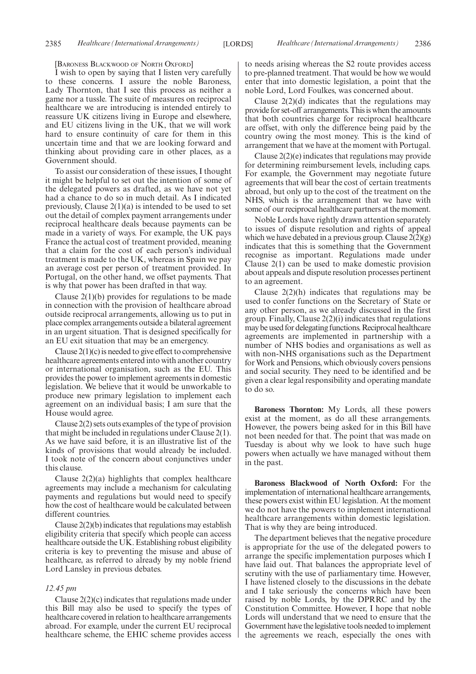[BARONESS BLACKWOOD OF NORTH OXFORD]

I wish to open by saying that I listen very carefully to these concerns. I assure the noble Baroness, Lady Thornton, that I see this process as neither a game nor a tussle. The suite of measures on reciprocal healthcare we are introducing is intended entirely to reassure UK citizens living in Europe and elsewhere, and EU citizens living in the UK, that we will work hard to ensure continuity of care for them in this uncertain time and that we are looking forward and thinking about providing care in other places, as a Government should.

To assist our consideration of these issues, I thought it might be helpful to set out the intention of some of the delegated powers as drafted, as we have not yet had a chance to do so in much detail. As I indicated previously, Clause 2(1)(a) is intended to be used to set out the detail of complex payment arrangements under reciprocal healthcare deals because payments can be made in a variety of ways. For example, the UK pays France the actual cost of treatment provided, meaning that a claim for the cost of each person's individual treatment is made to the UK, whereas in Spain we pay an average cost per person of treatment provided. In Portugal, on the other hand, we offset payments. That is why that power has been drafted in that way.

Clause  $2(1)(b)$  provides for regulations to be made in connection with the provision of healthcare abroad outside reciprocal arrangements, allowing us to put in place complex arrangements outside a bilateral agreement in an urgent situation. That is designed specifically for an EU exit situation that may be an emergency.

Clause 2(1)(c) is needed to give effect to comprehensive healthcare agreements entered into with another country or international organisation, such as the EU. This provides the power to implement agreements in domestic legislation. We believe that it would be unworkable to produce new primary legislation to implement each agreement on an individual basis; I am sure that the House would agree.

Clause 2(2) sets outs examples of the type of provision that might be included in regulations under Clause 2(1). As we have said before, it is an illustrative list of the kinds of provisions that would already be included. I took note of the concern about conjunctives under this clause.

Clause  $2(2)(a)$  highlights that complex healthcare agreements may include a mechanism for calculating payments and regulations but would need to specify how the cost of healthcare would be calculated between different countries.

Clause 2(2)(b) indicates that regulations may establish eligibility criteria that specify which people can access healthcare outside the UK. Establishing robust eligibility criteria is key to preventing the misuse and abuse of healthcare, as referred to already by my noble friend Lord Lansley in previous debates.

#### *12.45 pm*

Clause 2(2)(c) indicates that regulations made under this Bill may also be used to specify the types of healthcare covered in relation to healthcare arrangements abroad. For example, under the current EU reciprocal healthcare scheme, the EHIC scheme provides access

to needs arising whereas the S2 route provides access to pre-planned treatment. That would be how we would enter that into domestic legislation, a point that the noble Lord, Lord Foulkes, was concerned about.

Clause  $2(2)(d)$  indicates that the regulations may provide for set-off arrangements. This is when the amounts that both countries charge for reciprocal healthcare are offset, with only the difference being paid by the country owing the most money. This is the kind of arrangement that we have at the moment with Portugal.

Clause 2(2)(e) indicates that regulations may provide for determining reimbursement levels, including caps. For example, the Government may negotiate future agreements that will bear the cost of certain treatments abroad, but only up to the cost of the treatment on the NHS, which is the arrangement that we have with some of our reciprocal healthcare partners at the moment.

Noble Lords have rightly drawn attention separately to issues of dispute resolution and rights of appeal which we have debated in a previous group. Clause  $2(2)(g)$ indicates that this is something that the Government recognise as important. Regulations made under Clause 2(1) can be used to make domestic provision about appeals and dispute resolution processes pertinent to an agreement.

Clause  $2(2)(h)$  indicates that regulations may be used to confer functions on the Secretary of State or any other person, as we already discussed in the first group. Finally, Clause 2(2)(i) indicates that regulations may be used for delegating functions. Reciprocal healthcare agreements are implemented in partnership with a number of NHS bodies and organisations as well as with non-NHS organisations such as the Department for Work and Pensions, which obviously covers pensions and social security. They need to be identified and be given a clear legal responsibility and operating mandate to do so.

**Baroness Thornton:** My Lords, all these powers exist at the moment, as do all these arrangements. However, the powers being asked for in this Bill have not been needed for that. The point that was made on Tuesday is about why we look to have such huge powers when actually we have managed without them in the past.

**Baroness Blackwood of North Oxford:** For the implementation of international healthcare arrangements, these powers exist within EU legislation. At the moment we do not have the powers to implement international healthcare arrangements within domestic legislation. That is why they are being introduced.

The department believes that the negative procedure is appropriate for the use of the delegated powers to arrange the specific implementation purposes which I have laid out. That balances the appropriate level of scrutiny with the use of parliamentary time. However, I have listened closely to the discussions in the debate and I take seriously the concerns which have been raised by noble Lords, by the DPRRC and by the Constitution Committee. However, I hope that noble Lords will understand that we need to ensure that the Government have the legislative tools needed to implement the agreements we reach, especially the ones with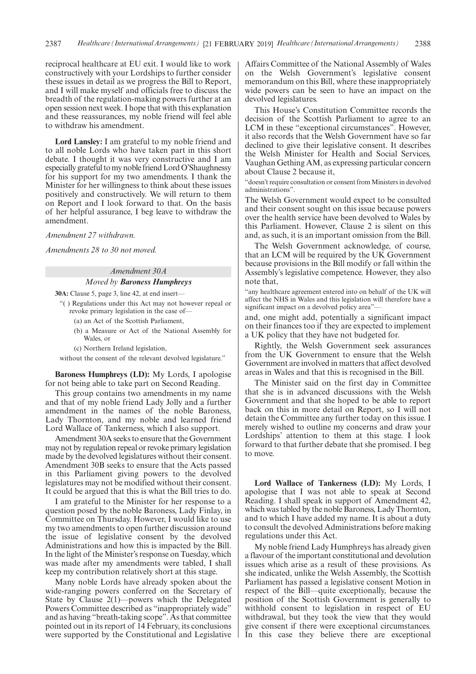reciprocal healthcare at EU exit. I would like to work constructively with your Lordships to further consider these issues in detail as we progress the Bill to Report, and I will make myself and officials free to discuss the breadth of the regulation-making powers further at an open session next week. I hope that with this explanation and these reassurances, my noble friend will feel able to withdraw his amendment.

**Lord Lansley:** I am grateful to my noble friend and to all noble Lords who have taken part in this short debate. I thought it was very constructive and I am especially grateful to my noble friend Lord O'Shaughnessy for his support for my two amendments. I thank the Minister for her willingness to think about these issues positively and constructively. We will return to them on Report and I look forward to that. On the basis of her helpful assurance, I beg leave to withdraw the amendment.

*Amendment 27 withdrawn.*

*Amendments 28 to 30 not moved.*

# *Amendment 30A Moved by Baroness Humphreys*

**30A:** Clause 5, page 3, line 42, at end insert—

"( ) Regulations under this Act may not however repeal or revoke primary legislation in the case of—

(a) an Act of the Scottish Parliament,

(b) a Measure or Act of the National Assembly for Wales, or

(c) Northern Ireland legislation,

without the consent of the relevant devolved legislature."

**Baroness Humphreys (LD):** My Lords, I apologise for not being able to take part on Second Reading.

This group contains two amendments in my name and that of my noble friend Lady Jolly and a further amendment in the names of the noble Baroness, Lady Thornton, and my noble and learned friend Lord Wallace of Tankerness, which I also support.

Amendment 30A seeks to ensure that the Government may not by regulation repeal or revoke primary legislation made by the devolved legislatures without their consent. Amendment 30B seeks to ensure that the Acts passed in this Parliament giving powers to the devolved legislatures may not be modified without their consent. It could be argued that this is what the Bill tries to do.

I am grateful to the Minister for her response to a question posed by the noble Baroness, Lady Finlay, in Committee on Thursday. However, I would like to use my two amendments to open further discussion around the issue of legislative consent by the devolved Administrations and how this is impacted by the Bill. In the light of the Minister's response on Tuesday, which was made after my amendments were tabled, I shall keep my contribution relatively short at this stage.

Many noble Lords have already spoken about the wide-ranging powers conferred on the Secretary of State by Clause 2(1)—powers which the Delegated Powers Committee described as "inappropriately wide" and as having "breath-taking scope". As that committee pointed out in its report of 14 February, its conclusions were supported by the Constitutional and Legislative Affairs Committee of the National Assembly of Wales on the Welsh Government's legislative consent memorandum on this Bill, where these inappropriately wide powers can be seen to have an impact on the devolved legislatures.

This House's Constitution Committee records the decision of the Scottish Parliament to agree to an LCM in these "exceptional circumstances". However, it also records that the Welsh Government have so far declined to give their legislative consent. It describes the Welsh Minister for Health and Social Services, Vaughan Gething AM, as expressing particular concern about Clause 2 because it,

"doesn't require consultation or consent from Ministers in devolved administrations".

The Welsh Government would expect to be consulted and their consent sought on this issue because powers over the health service have been devolved to Wales by this Parliament. However, Clause 2 is silent on this and, as such, it is an important omission from the Bill.

The Welsh Government acknowledge, of course, that an LCM will be required by the UK Government because provisions in the Bill modify or fall within the Assembly's legislative competence. However, they also note that,

"any healthcare agreement entered into on behalf of the UK will affect the NHS in Wales and this legislation will therefore have a significant impact on a devolved policy area"—

and, one might add, potentially a significant impact on their finances too if they are expected to implement a UK policy that they have not budgeted for.

Rightly, the Welsh Government seek assurances from the UK Government to ensure that the Welsh Government are involved in matters that affect devolved areas in Wales and that this is recognised in the Bill.

The Minister said on the first day in Committee that she is in advanced discussions with the Welsh Government and that she hoped to be able to report back on this in more detail on Report, so I will not detain the Committee any further today on this issue. I merely wished to outline my concerns and draw your Lordships' attention to them at this stage. I look forward to that further debate that she promised. I beg to move.

**Lord Wallace of Tankerness (LD):** My Lords, I apologise that I was not able to speak at Second Reading. I shall speak in support of Amendment 42, which was tabled by the noble Baroness, Lady Thornton, and to which I have added my name. It is about a duty to consult the devolved Administrations before making regulations under this Act.

My noble friend Lady Humphreys has already given a flavour of the important constitutional and devolution issues which arise as a result of these provisions. As she indicated, unlike the Welsh Assembly, the Scottish Parliament has passed a legislative consent Motion in respect of the Bill—quite exceptionally, because the position of the Scottish Government is generally to withhold consent to legislation in respect of EU withdrawal, but they took the view that they would give consent if there were exceptional circumstances. In this case they believe there are exceptional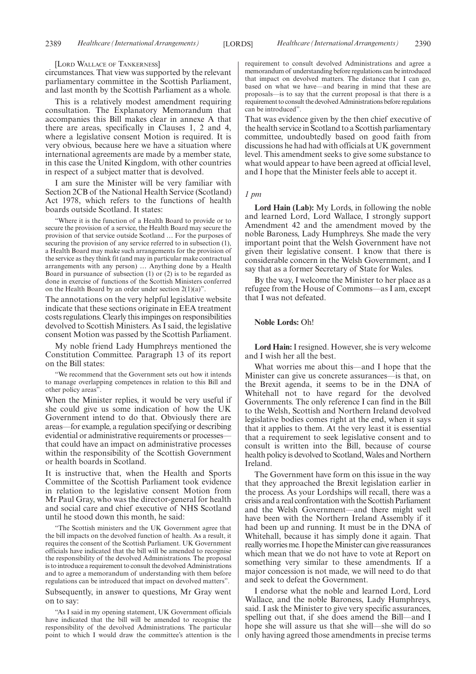#### [LORD WALLACE OF TANKERNESS]

circumstances. That view was supported by the relevant parliamentary committee in the Scottish Parliament, and last month by the Scottish Parliament as a whole.

This is a relatively modest amendment requiring consultation. The Explanatory Memorandum that accompanies this Bill makes clear in annexe A that there are areas, specifically in Clauses 1, 2 and 4, where a legislative consent Motion is required. It is very obvious, because here we have a situation where international agreements are made by a member state, in this case the United Kingdom, with other countries in respect of a subject matter that is devolved.

I am sure the Minister will be very familiar with Section 2CB of the National Health Service (Scotland) Act 1978, which refers to the functions of health boards outside Scotland. It states:

"Where it is the function of a Health Board to provide or to secure the provision of a service, the Health Board may secure the provision of that service outside Scotland … For the purposes of securing the provision of any service referred to in subsection (1), a Health Board may make such arrangements for the provision of the service as they think fit (and may in particular make contractual arrangements with any person) … Anything done by a Health Board in pursuance of subsection (1) or (2) is to be regarded as done in exercise of functions of the Scottish Ministers conferred on the Health Board by an order under section  $2(1)(a)$ ".

The annotations on the very helpful legislative website indicate that these sections originate in EEA treatment costs regulations. Clearly this impinges on responsibilities devolved to Scottish Ministers. As I said, the legislative consent Motion was passed by the Scottish Parliament.

My noble friend Lady Humphreys mentioned the Constitution Committee. Paragraph 13 of its report on the Bill states:

"We recommend that the Government sets out how it intends to manage overlapping competences in relation to this Bill and other policy areas".

When the Minister replies, it would be very useful if she could give us some indication of how the UK Government intend to do that. Obviously there are areas—for example, a regulation specifying or describing evidential or administrative requirements or processes that could have an impact on administrative processes within the responsibility of the Scottish Government or health boards in Scotland.

It is instructive that, when the Health and Sports Committee of the Scottish Parliament took evidence in relation to the legislative consent Motion from Mr Paul Gray, who was the director-general for health and social care and chief executive of NHS Scotland until he stood down this month, he said:

"The Scottish ministers and the UK Government agree that the bill impacts on the devolved function of health. As a result, it requires the consent of the Scottish Parliament. UK Government officials have indicated that the bill will be amended to recognise the responsibility of the devolved Administrations. The proposal is to introduce a requirement to consult the devolved Administrations and to agree a memorandum of understanding with them before regulations can be introduced that impact on devolved matters".

Subsequently, in answer to questions, Mr Gray went on to say:

"As I said in my opening statement, UK Government officials have indicated that the bill will be amended to recognise the responsibility of the devolved Administrations. The particular point to which I would draw the committee's attention is the requirement to consult devolved Administrations and agree a memorandum of understanding before regulations can be introduced that impact on devolved matters. The distance that I can go, based on what we have—and bearing in mind that these are proposals—is to say that the current proposal is that there is a requirement to consult the devolved Administrations before regulations can be introduced".

That was evidence given by the then chief executive of the health service in Scotland to a Scottish parliamentary committee, undoubtedly based on good faith from discussions he had had with officials at UK government level. This amendment seeks to give some substance to what would appear to have been agreed at official level, and I hope that the Minister feels able to accept it.

#### *1 pm*

**Lord Hain (Lab):** My Lords, in following the noble and learned Lord, Lord Wallace, I strongly support Amendment 42 and the amendment moved by the noble Baroness, Lady Humphreys. She made the very important point that the Welsh Government have not given their legislative consent. I know that there is considerable concern in the Welsh Government, and I say that as a former Secretary of State for Wales.

By the way, I welcome the Minister to her place as a refugee from the House of Commons—as I am, except that I was not defeated.

### **Noble Lords:** Oh!

**Lord Hain:** I resigned. However, she is very welcome and I wish her all the best.

What worries me about this—and I hope that the Minister can give us concrete assurances—is that, on the Brexit agenda, it seems to be in the DNA of Whitehall not to have regard for the devolved Governments. The only reference I can find in the Bill to the Welsh, Scottish and Northern Ireland devolved legislative bodies comes right at the end, when it says that it applies to them. At the very least it is essential that a requirement to seek legislative consent and to consult is written into the Bill, because of course health policy is devolved to Scotland, Wales and Northern Ireland.

The Government have form on this issue in the way that they approached the Brexit legislation earlier in the process. As your Lordships will recall, there was a crisis and a real confrontation with the Scottish Parliament and the Welsh Government—and there might well have been with the Northern Ireland Assembly if it had been up and running. It must be in the DNA of Whitehall, because it has simply done it again. That really worries me. I hope the Minister can give reassurances which mean that we do not have to vote at Report on something very similar to these amendments. If a major concession is not made, we will need to do that and seek to defeat the Government.

I endorse what the noble and learned Lord, Lord Wallace, and the noble Baroness, Lady Humphreys, said. I ask the Minister to give very specific assurances, spelling out that, if she does amend the Bill—and I hope she will assure us that she will—she will do so only having agreed those amendments in precise terms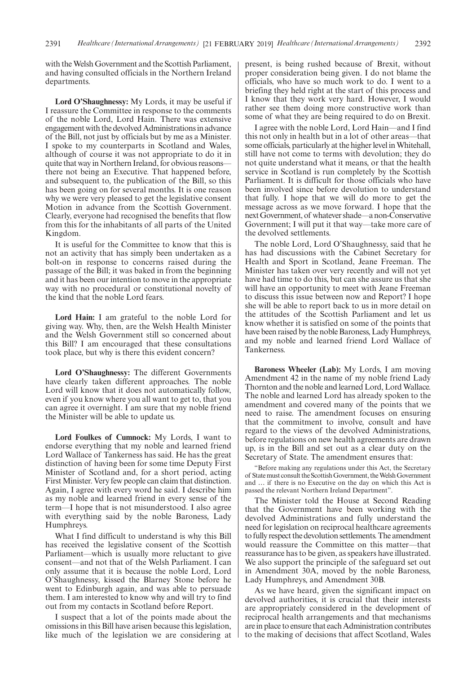with the Welsh Government and the Scottish Parliament, and having consulted officials in the Northern Ireland departments.

**Lord O'Shaughnessy:** My Lords, it may be useful if I reassure the Committee in response to the comments of the noble Lord, Lord Hain. There was extensive engagement with the devolved Administrations in advance of the Bill, not just by officials but by me as a Minister. I spoke to my counterparts in Scotland and Wales, although of course it was not appropriate to do it in quite that way in Northern Ireland, for obvious reasons there not being an Executive. That happened before, and subsequent to, the publication of the Bill, so this has been going on for several months. It is one reason why we were very pleased to get the legislative consent Motion in advance from the Scottish Government. Clearly, everyone had recognised the benefits that flow from this for the inhabitants of all parts of the United Kingdom.

It is useful for the Committee to know that this is not an activity that has simply been undertaken as a bolt-on in response to concerns raised during the passage of the Bill; it was baked in from the beginning and it has been our intention to move in the appropriate way with no procedural or constitutional novelty of the kind that the noble Lord fears.

**Lord Hain:** I am grateful to the noble Lord for giving way. Why, then, are the Welsh Health Minister and the Welsh Government still so concerned about this Bill? I am encouraged that these consultations took place, but why is there this evident concern?

**Lord O'Shaughnessy:** The different Governments have clearly taken different approaches. The noble Lord will know that it does not automatically follow, even if you know where you all want to get to, that you can agree it overnight. I am sure that my noble friend the Minister will be able to update us.

**Lord Foulkes of Cumnock:** My Lords, I want to endorse everything that my noble and learned friend Lord Wallace of Tankerness has said. He has the great distinction of having been for some time Deputy First Minister of Scotland and, for a short period, acting First Minister. Very few people can claim that distinction. Again, I agree with every word he said. I describe him as my noble and learned friend in every sense of the term—I hope that is not misunderstood. I also agree with everything said by the noble Baroness, Lady Humphreys.

What I find difficult to understand is why this Bill has received the legislative consent of the Scottish Parliament—which is usually more reluctant to give consent—and not that of the Welsh Parliament. I can only assume that it is because the noble Lord, Lord O'Shaughnessy, kissed the Blarney Stone before he went to Edinburgh again, and was able to persuade them. I am interested to know why and will try to find out from my contacts in Scotland before Report.

I suspect that a lot of the points made about the omissions in this Bill have arisen because this legislation, like much of the legislation we are considering at present, is being rushed because of Brexit, without proper consideration being given. I do not blame the officials, who have so much work to do. I went to a briefing they held right at the start of this process and I know that they work very hard. However, I would rather see them doing more constructive work than some of what they are being required to do on Brexit.

I agree with the noble Lord, Lord Hain—and I find this not only in health but in a lot of other areas—that some officials, particularly at the higher level in Whitehall, still have not come to terms with devolution; they do not quite understand what it means, or that the health service in Scotland is run completely by the Scottish Parliament. It is difficult for those officials who have been involved since before devolution to understand that fully. I hope that we will do more to get the message across as we move forward. I hope that the next Government, of whatever shade—a non-Conservative Government; I will put it that way—take more care of the devolved settlements.

The noble Lord, Lord O'Shaughnessy, said that he has had discussions with the Cabinet Secretary for Health and Sport in Scotland, Jeane Freeman. The Minister has taken over very recently and will not yet have had time to do this, but can she assure us that she will have an opportunity to meet with Jeane Freeman to discuss this issue between now and Report? I hope she will be able to report back to us in more detail on the attitudes of the Scottish Parliament and let us know whether it is satisfied on some of the points that have been raised by the noble Baroness, Lady Humphreys, and my noble and learned friend Lord Wallace of Tankerness.

**Baroness Wheeler (Lab):** My Lords, I am moving Amendment 42 in the name of my noble friend Lady Thornton and the noble and learned Lord, Lord Wallace. The noble and learned Lord has already spoken to the amendment and covered many of the points that we need to raise. The amendment focuses on ensuring that the commitment to involve, consult and have regard to the views of the devolved Administrations, before regulations on new health agreements are drawn up, is in the Bill and set out as a clear duty on the Secretary of State. The amendment ensures that:

"Before making any regulations under this Act, the Secretary of State must consult the Scottish Government, the Welsh Government and … if there is no Executive on the day on which this Act is passed the relevant Northern Ireland Department".

The Minister told the House at Second Reading that the Government have been working with the devolved Administrations and fully understand the need for legislation on reciprocal healthcare agreements to fully respect the devolution settlements. The amendment would reassure the Committee on this matter—that reassurance has to be given, as speakers have illustrated. We also support the principle of the safeguard set out in Amendment 30A, moved by the noble Baroness, Lady Humphreys, and Amendment 30B.

As we have heard, given the significant impact on devolved authorities, it is crucial that their interests are appropriately considered in the development of reciprocal health arrangements and that mechanisms are in place to ensure that each Administration contributes to the making of decisions that affect Scotland, Wales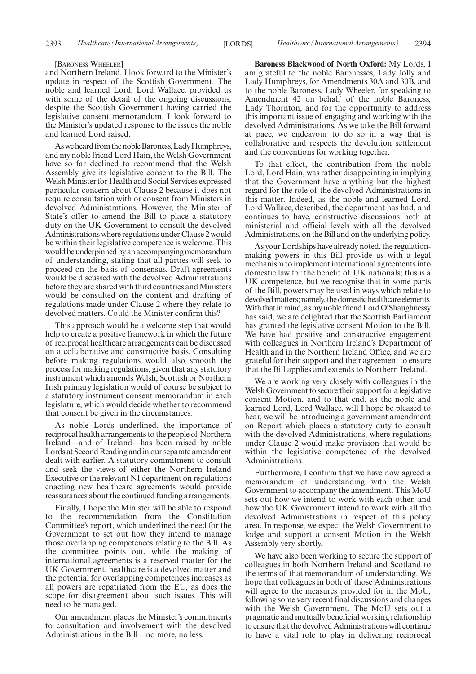#### [BARONESS WHEELER]

and Northern Ireland. I look forward to the Minister's update in respect of the Scottish Government. The noble and learned Lord, Lord Wallace, provided us with some of the detail of the ongoing discussions, despite the Scottish Government having carried the legislative consent memorandum. I look forward to the Minister's updated response to the issues the noble and learned Lord raised.

As we heard from the noble Baroness, Lady Humphreys, and my noble friend Lord Hain, the Welsh Government have so far declined to recommend that the Welsh Assembly give its legislative consent to the Bill. The Welsh Minister for Health and Social Services expressed particular concern about Clause 2 because it does not require consultation with or consent from Ministers in devolved Administrations. However, the Minister of State's offer to amend the Bill to place a statutory duty on the UK Government to consult the devolved Administrations where regulations under Clause 2 would be within their legislative competence is welcome. This would be underpinned by an accompanying memorandum of understanding, stating that all parties will seek to proceed on the basis of consensus. Draft agreements would be discussed with the devolved Administrations before they are shared with third countries and Ministers would be consulted on the content and drafting of regulations made under Clause 2 where they relate to devolved matters. Could the Minister confirm this?

This approach would be a welcome step that would help to create a positive framework in which the future of reciprocal healthcare arrangements can be discussed on a collaborative and constructive basis. Consulting before making regulations would also smooth the process for making regulations, given that any statutory instrument which amends Welsh, Scottish or Northern Irish primary legislation would of course be subject to a statutory instrument consent memorandum in each legislature, which would decide whether to recommend that consent be given in the circumstances.

As noble Lords underlined, the importance of reciprocal health arrangements to the people of Northern Ireland—and of Ireland—has been raised by noble Lords at Second Reading and in our separate amendment dealt with earlier. A statutory commitment to consult and seek the views of either the Northern Ireland Executive or the relevant NI department on regulations enacting new healthcare agreements would provide reassurances about the continued funding arrangements.

Finally, I hope the Minister will be able to respond to the recommendation from the Constitution Committee's report, which underlined the need for the Government to set out how they intend to manage those overlapping competences relating to the Bill. As the committee points out, while the making of international agreements is a reserved matter for the UK Government, healthcare is a devolved matter and the potential for overlapping competences increases as all powers are repatriated from the EU, as does the scope for disagreement about such issues. This will need to be managed.

Our amendment places the Minister's commitments to consultation and involvement with the devolved Administrations in the Bill—no more, no less.

**Baroness Blackwood of North Oxford:** My Lords, I am grateful to the noble Baronesses, Lady Jolly and Lady Humphreys, for Amendments 30A and 30B, and to the noble Baroness, Lady Wheeler, for speaking to Amendment 42 on behalf of the noble Baroness, Lady Thornton, and for the opportunity to address this important issue of engaging and working with the devolved Administrations. As we take the Bill forward at pace, we endeavour to do so in a way that is collaborative and respects the devolution settlement and the conventions for working together.

To that effect, the contribution from the noble Lord, Lord Hain, was rather disappointing in implying that the Government have anything but the highest regard for the role of the devolved Administrations in this matter. Indeed, as the noble and learned Lord, Lord Wallace, described, the department has had, and continues to have, constructive discussions both at ministerial and official levels with all the devolved Administrations, on the Bill and on the underlying policy.

As your Lordships have already noted, the regulationmaking powers in this Bill provide us with a legal mechanism to implement international agreements into domestic law for the benefit of UK nationals; this is a UK competence, but we recognise that in some parts of the Bill, powers may be used in ways which relate to devolved matters; namely, the domestic healthcare elements. With that in mind, as my noble friend Lord O'Shaughnessy has said, we are delighted that the Scottish Parliament has granted the legislative consent Motion to the Bill. We have had positive and constructive engagement with colleagues in Northern Ireland's Department of Health and in the Northern Ireland Office, and we are grateful for their support and their agreement to ensure that the Bill applies and extends to Northern Ireland.

We are working very closely with colleagues in the Welsh Government to secure their support for a legislative consent Motion, and to that end, as the noble and learned Lord, Lord Wallace, will I hope be pleased to hear, we will be introducing a government amendment on Report which places a statutory duty to consult with the devolved Administrations, where regulations under Clause 2 would make provision that would be within the legislative competence of the devolved Administrations.

Furthermore, I confirm that we have now agreed a memorandum of understanding with the Welsh Government to accompany the amendment. This MoU sets out how we intend to work with each other, and how the UK Government intend to work with all the devolved Administrations in respect of this policy area. In response, we expect the Welsh Government to lodge and support a consent Motion in the Welsh Assembly very shortly.

We have also been working to secure the support of colleagues in both Northern Ireland and Scotland to the terms of that memorandum of understanding. We hope that colleagues in both of those Administrations will agree to the measures provided for in the MoU, following some very recent final discussions and changes with the Welsh Government. The MoU sets out a pragmatic and mutually beneficial working relationship to ensure that the devolved Administrations will continue to have a vital role to play in delivering reciprocal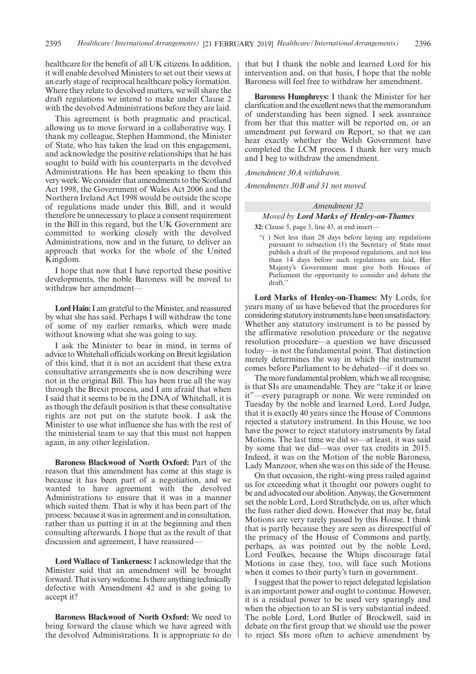healthcare for the benefit of all UK citizens. In addition, it will enable devolved Ministers to set out their views at an early stage of reciprocal healthcare policy formation. Where they relate to devolved matters, we will share the draft regulations we intend to make under Clause 2 with the devolved Administrations before they are laid.

This agreement is both pragmatic and practical, allowing us to move forward in a collaborative way. I thank my colleague, Stephen Hammond, the Minister of State, who has taken the lead on this engagement, and acknowledge the positive relationships that he has sought to build with his counterparts in the devolved Administrations. He has been speaking to them this very week. We consider that amendments to the Scotland Act 1998, the Government of Wales Act 2006 and the Northern Ireland Act 1998 would be outside the scope of regulations made under this Bill, and it would therefore be unnecessary to place a consent requirement in the Bill in this regard, but the UK Government are committed to working closely with the devolved Administrations, now and in the future, to deliver an approach that works for the whole of the United Kingdom.

I hope that now that I have reported these positive developments, the noble Baroness will be moved to withdraw her amendment—

**Lord Hain:**I am grateful to the Minister, and reassured by what she has said. Perhaps I will withdraw the tone of some of my earlier remarks, which were made without knowing what she was going to say.

I ask the Minister to bear in mind, in terms of advice to Whitehall officials working on Brexit legislation of this kind, that it is not an accident that these extra consultative arrangements she is now describing were not in the original Bill. This has been true all the way through the Brexit process, and I am afraid that when I said that it seems to be in the DNA of Whitehall, it is as though the default position is that these consultative rights are not put on the statute book. I ask the Minister to use what influence she has with the rest of the ministerial team to say that this must not happen again, in any other legislation.

**Baroness Blackwood of North Oxford:** Part of the reason that this amendment has come at this stage is because it has been part of a negotiation, and we wanted to have agreement with the devolved Administrations to ensure that it was in a manner which suited them. That is why it has been part of the process: because it was in agreement and in consultation, rather than us putting it in at the beginning and then consulting afterwards. I hope that as the result of that discussion and agreement, I have reassured—

**Lord Wallace of Tankerness:** I acknowledge that the Minister said that an amendment will be brought forward. That is very welcome. Is there anything technically defective with Amendment 42 and is she going to accept it?

**Baroness Blackwood of North Oxford:** We need to bring forward the clause which we have agreed with the devolved Administrations. It is appropriate to do that but I thank the noble and learned Lord for his intervention and, on that basis, I hope that the noble Baroness will feel free to withdraw her amendment.

**Baroness Humphreys:** I thank the Minister for her clarification and the excellent news that the memorandum of understanding has been signed. I seek assurance from her that this matter will be reported on, or an amendment put forward on Report, so that we can hear exactly whether the Welsh Government have completed the LCM process. I thank her very much and I beg to withdraw the amendment.

*Amendment 30A withdrawn.*

*Amendments 30B and 31 not moved.*

#### *Amendment 32*

# *Moved by Lord Marks of Henley-on-Thames*

**32:** Clause 5, page 3, line 43, at end insert—

"( ) Not less than 28 days before laying any regulations pursuant to subsection (1) the Secretary of State must publish a draft of the proposed regulations, and not less than 14 days before such regulations are laid, Her Majesty's Government must give both Houses of Parliament the opportunity to consider and debate the draft."

**Lord Marks of Henley-on-Thames:** My Lords, for years many of us have believed that the procedures for considering statutory instruments have been unsatisfactory. Whether any statutory instrument is to be passed by the affirmative resolution procedure or the negative resolution procedure—a question we have discussed today—is not the fundamental point. That distinction merely determines the way in which the instrument comes before Parliament to be debated—if it does so.

The more fundamental problem, which we all recognise, is that SIs are unamendable. They are "take it or leave it"—every paragraph or none. We were reminded on Tuesday by the noble and learned Lord, Lord Judge, that it is exactly 40 years since the House of Commons rejected a statutory instrument. In this House, we too have the power to reject statutory instruments by fatal Motions. The last time we did so—at least, it was said by some that we did—was over tax credits in 2015. Indeed, it was on the Motion of the noble Baroness, Lady Manzoor, when she was on this side of the House.

On that occasion, the right-wing press railed against us for exceeding what it thought our powers ought to be and advocated our abolition. Anyway, the Government set the noble Lord, Lord Strathclyde, on us, after which the fuss rather died down. However that may be, fatal Motions are very rarely passed by this House. I think that is partly because they are seen as disrespectful of the primacy of the House of Commons and partly, perhaps, as was pointed out by the noble Lord, Lord Foulkes, because the Whips discourage fatal Motions in case they, too, will face such Motions when it comes to their party's turn in government.

I suggest that the power to reject delegated legislation is an important power and ought to continue. However, it is a residual power to be used very sparingly and when the objection to an SI is very substantial indeed. The noble Lord, Lord Butler of Brockwell, said in debate on the first group that we should use the power to reject SIs more often to achieve amendment by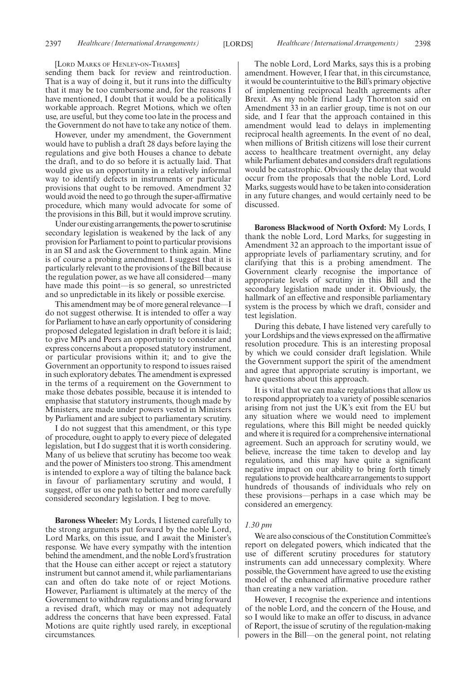[LORD MARKS OF HENLEY-ON-THAMES]

sending them back for review and reintroduction. That is a way of doing it, but it runs into the difficulty that it may be too cumbersome and, for the reasons I have mentioned, I doubt that it would be a politically workable approach. Regret Motions, which we often use, are useful, but they come too late in the process and the Government do not have to take any notice of them.

However, under my amendment, the Government would have to publish a draft 28 days before laying the regulations and give both Houses a chance to debate the draft, and to do so before it is actually laid. That would give us an opportunity in a relatively informal way to identify defects in instruments or particular provisions that ought to be removed. Amendment 32 would avoid the need to go through the super-affirmative procedure, which many would advocate for some of the provisions in this Bill, but it would improve scrutiny.

Under our existing arrangements, the power to scrutinise secondary legislation is weakened by the lack of any provision for Parliament to point to particular provisions in an SI and ask the Government to think again. Mine is of course a probing amendment. I suggest that it is particularly relevant to the provisions of the Bill because the regulation power, as we have all considered—many have made this point—is so general, so unrestricted and so unpredictable in its likely or possible exercise.

This amendment may be of more general relevance—I do not suggest otherwise. It is intended to offer a way for Parliament to have an early opportunity of considering proposed delegated legislation in draft before it is laid; to give MPs and Peers an opportunity to consider and express concerns about a proposed statutory instrument, or particular provisions within it; and to give the Government an opportunity to respond to issues raised in such exploratory debates. The amendment is expressed in the terms of a requirement on the Government to make those debates possible, because it is intended to emphasise that statutory instruments, though made by Ministers, are made under powers vested in Ministers by Parliament and are subject to parliamentary scrutiny.

I do not suggest that this amendment, or this type of procedure, ought to apply to every piece of delegated legislation, but I do suggest that it is worth considering. Many of us believe that scrutiny has become too weak and the power of Ministers too strong. This amendment is intended to explore a way of tilting the balance back in favour of parliamentary scrutiny and would, I suggest, offer us one path to better and more carefully considered secondary legislation. I beg to move.

**Baroness Wheeler:** My Lords, I listened carefully to the strong arguments put forward by the noble Lord, Lord Marks, on this issue, and I await the Minister's response. We have every sympathy with the intention behind the amendment, and the noble Lord's frustration that the House can either accept or reject a statutory instrument but cannot amend it, while parliamentarians can and often do take note of or reject Motions. However, Parliament is ultimately at the mercy of the Government to withdraw regulations and bring forward a revised draft, which may or may not adequately address the concerns that have been expressed. Fatal Motions are quite rightly used rarely, in exceptional circumstances.

The noble Lord, Lord Marks, says this is a probing amendment. However, I fear that, in this circumstance, it would be counterintuitive to the Bill's primary objective of implementing reciprocal health agreements after Brexit. As my noble friend Lady Thornton said on Amendment 33 in an earlier group, time is not on our side, and I fear that the approach contained in this amendment would lead to delays in implementing reciprocal health agreements. In the event of no deal, when millions of British citizens will lose their current access to healthcare treatment overnight, any delay while Parliament debates and considers draft regulations would be catastrophic. Obviously the delay that would occur from the proposals that the noble Lord, Lord Marks, suggests would have to be taken into consideration in any future changes, and would certainly need to be discussed.

**Baroness Blackwood of North Oxford:** My Lords, I thank the noble Lord, Lord Marks, for suggesting in Amendment 32 an approach to the important issue of appropriate levels of parliamentary scrutiny, and for clarifying that this is a probing amendment. The Government clearly recognise the importance of appropriate levels of scrutiny in this Bill and the secondary legislation made under it. Obviously, the hallmark of an effective and responsible parliamentary system is the process by which we draft, consider and test legislation.

During this debate, I have listened very carefully to your Lordships and the views expressed on the affirmative resolution procedure. This is an interesting proposal by which we could consider draft legislation. While the Government support the spirit of the amendment and agree that appropriate scrutiny is important, we have questions about this approach.

It is vital that we can make regulations that allow us to respond appropriately to a variety of possible scenarios arising from not just the UK's exit from the EU but any situation where we would need to implement regulations, where this Bill might be needed quickly and where it is required for a comprehensive international agreement. Such an approach for scrutiny would, we believe, increase the time taken to develop and lay regulations, and this may have quite a significant negative impact on our ability to bring forth timely regulations to provide healthcare arrangements to support hundreds of thousands of individuals who rely on these provisions—perhaps in a case which may be considered an emergency.

#### *1.30 pm*

We are also conscious of the Constitution Committee's report on delegated powers, which indicated that the use of different scrutiny procedures for statutory instruments can add unnecessary complexity. Where possible, the Government have agreed to use the existing model of the enhanced affirmative procedure rather than creating a new variation.

However, I recognise the experience and intentions of the noble Lord, and the concern of the House, and so I would like to make an offer to discuss, in advance of Report, the issue of scrutiny of the regulation-making powers in the Bill—on the general point, not relating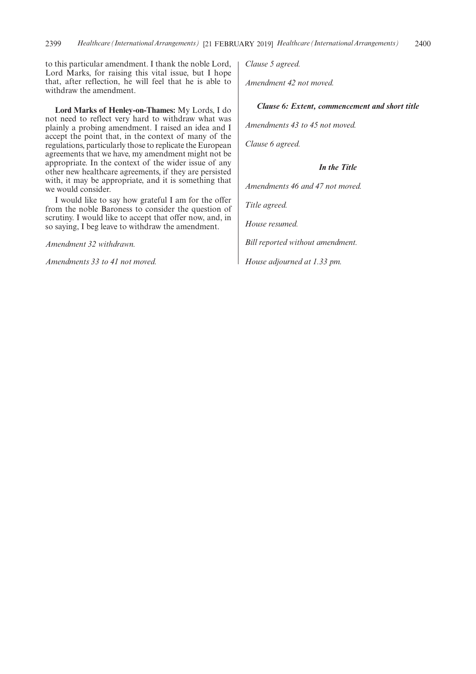to this particular amendment. I thank the noble Lord, Lord Marks, for raising this vital issue, but I hope that, after reflection, he will feel that he is able to withdraw the amendment.

**Lord Marks of Henley-on-Thames:** My Lords, I do not need to reflect very hard to withdraw what was plainly a probing amendment. I raised an idea and I accept the point that, in the context of many of the regulations, particularly those to replicate the European agreements that we have, my amendment might not be appropriate. In the context of the wider issue of any other new healthcare agreements, if they are persisted with, it may be appropriate, and it is something that we would consider.

I would like to say how grateful I am for the offer from the noble Baroness to consider the question of scrutiny. I would like to accept that offer now, and, in so saying, I beg leave to withdraw the amendment.

*Amendment 32 withdrawn.*

*Amendments 33 to 41 not moved.*

*Clause 5 agreed.*

*Amendment 42 not moved.*

#### *Clause 6: Extent, commencement and short title*

*Amendments 43 to 45 not moved.*

*Clause 6 agreed.*

# *In the Title*

*Amendments 46 and 47 not moved.*

*Title agreed.*

*House resumed.*

*Bill reported without amendment.*

*House adjourned at 1.33 pm.*